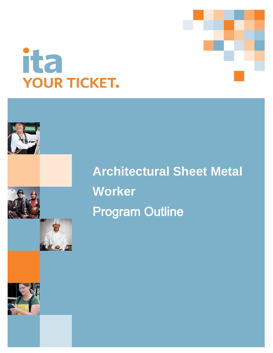



# **Architectural Sheet Metal Worker Program Outline**

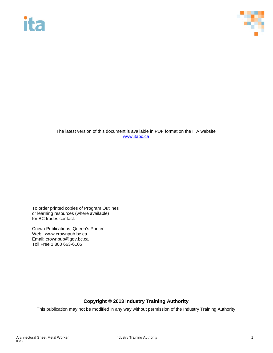# **ita**



The latest version of this document is available in PDF format on the ITA website [www.itabc.ca](http://www.itabc.ca/)

To order printed copies of Program Outlines or learning resources (where available) for BC trades contact:

Crown Publications, Queen's Printer Web: www.crownpub.bc.ca Email: crownpub@gov.bc.ca Toll Free 1 800 663-6105

# **Copyright © 2013 Industry Training Authority**

This publication may not be modified in any way without permission of the Industry Training Authority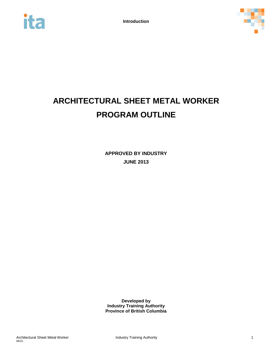



# **ARCHITECTURAL SHEET METAL WORKER PROGRAM OUTLINE**

**APPROVED BY INDUSTRY JUNE 2013**

**Developed by Industry Training Authority Province of British Columbia**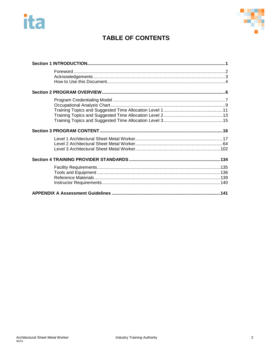



# **TABLE OF CONTENTS**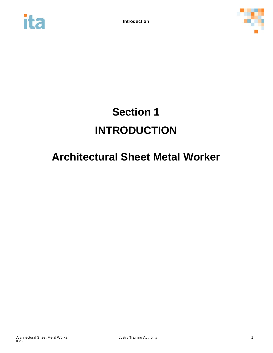<span id="page-4-0"></span>



# **Section 1 INTRODUCTION**

# **Architectural Sheet Metal Worker**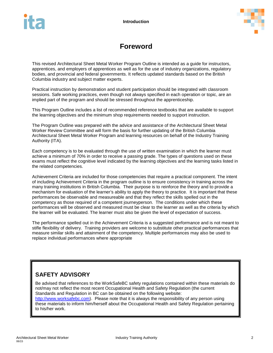

# **Foreword**

<span id="page-5-0"></span>This revised Architectural Sheet Metal Worker Program Outline is intended as a guide for instructors, apprentices, and employers of apprentices as well as for the use of industry organizations, regulatory bodies, and provincial and federal governments. It reflects updated standards based on the British Columbia industry and subject matter experts.

Practical instruction by demonstration and student participation should be integrated with classroom sessions. Safe working practices, even though not always specified in each operation or topic, are an implied part of the program and should be stressed throughout the apprenticeship.

This Program Outline includes a list of recommended reference textbooks that are available to support the learning objectives and the minimum shop requirements needed to support instruction.

The Program Outline was prepared with the advice and assistance of the Architectural Sheet Metal Worker Review Committee and will form the basis for further updating of the British Columbia Architectural Sheet Metal Worker Program and learning resources on behalf of the Industry Training Authority (ITA).

Each competency is to be evaluated through the use of written examination in which the learner must achieve a minimum of 70% in order to receive a passing grade. The types of questions used on these exams must reflect the cognitive level indicated by the learning objectives and the learning tasks listed in the related competencies.

Achievement Criteria are included for those competencies that require a practical component. The intent of including Achievement Criteria in the program outline is to ensure consistency in training across the many training institutions in British Columbia. Their purpose is to reinforce the theory and to provide a mechanism for evaluation of the learner's ability to apply the theory to practice. It is important that these performances be observable and measureable and that they reflect the skills spelled out in the competency as those required of a competent journeyperson. The conditions under which these performances will be observed and measured must be clear to the learner as well as the criteria by which the learner will be evaluated. The learner must also be given the level of expectation of success.

The performance spelled out in the Achievement Criteria is a suggested performance and is not meant to stifle flexibility of delivery. Training providers are welcome to substitute other practical performances that measure similar skills and attainment of the competency. Multiple performances may also be used to replace individual performances where appropriate

# **SAFETY ADVISORY**

Be advised that references to the WorkSafeBC safety regulations contained within these materials do not/may not reflect the most recent Occupational Health and Safety Regulation (the current Standards and Regulation in BC can be obtained on the following website: [http://www.worksafebc.com\)](http://www.worksafebc.com/). Please note that it is always the responsibility of any person using

these materials to inform him/herself about the Occupational Health and Safety Regulation pertaining to his/her work.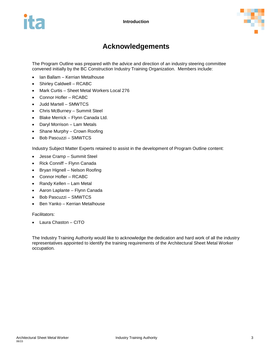

# **Acknowledgements**

<span id="page-6-0"></span>The Program Outline was prepared with the advice and direction of an industry steering committee convened initially by the BC Construction Industry Training Organization. Members include:

- Ian Ballam Kerrian Metalhouse
- Shirley Caldwell RCABC
- Mark Curtis Sheet Metal Workers Local 276
- Connor Hofler RCABC
- Judd Martell SMWTCS
- Chris McBurney Summit Steel
- Blake Merrick Flynn Canada Ltd.
- Daryl Morrison Lam Metals
- Shane Murphy Crown Roofing
- Bob Pascuzzi SMWTCS

Industry Subject Matter Experts retained to assist in the development of Program Outline content:

- Jesse Cramp Summit Steel
- Rick Conniff Flynn Canada
- Bryan Hignell Nelson Roofing
- Connor Hofler RCABC
- Randy Kellen Lam Metal
- Aaron Laplante Flynn Canada
- Bob Pascuzzi SMWTCS
- Ben Yanko Kerrian Metalhouse

Facilitators:

• Laura Chaston – CITO

The Industry Training Authority would like to acknowledge the dedication and hard work of all the industry representatives appointed to identify the training requirements of the Architectural Sheet Metal Worker occupation.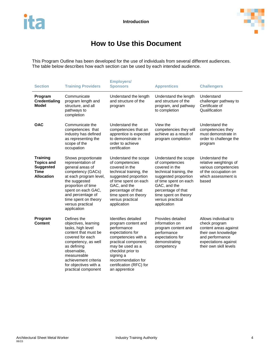

# **How to Use this Document**

<span id="page-7-0"></span>This Program Outline has been developed for the use of individuals from several different audiences. The table below describes how each section can be used by each intended audience.

| <b>Section</b>                                                                               | <b>Employers/</b><br><b>Training Providers</b><br><b>Sponsors</b>                                                                                                                                                                                        |                                                                                                                                                                                                                                                       | <b>Apprentices</b>                                                                                                                                                                                                                     | <b>Challengers</b>                                                                                                                                         |
|----------------------------------------------------------------------------------------------|----------------------------------------------------------------------------------------------------------------------------------------------------------------------------------------------------------------------------------------------------------|-------------------------------------------------------------------------------------------------------------------------------------------------------------------------------------------------------------------------------------------------------|----------------------------------------------------------------------------------------------------------------------------------------------------------------------------------------------------------------------------------------|------------------------------------------------------------------------------------------------------------------------------------------------------------|
| Program<br><b>Credentialing</b><br>Model                                                     | Communicate<br>program length and<br>structure, and all<br>pathways to<br>completion                                                                                                                                                                     | Understand the length<br>Understand the length<br>and structure of the<br>and structure of the<br>program, and pathway<br>program<br>to completion                                                                                                    |                                                                                                                                                                                                                                        | Understand<br>challenger pathway to<br>Certificate of<br>Qualification                                                                                     |
| <b>OAC</b>                                                                                   | Communicate the<br>competencies that<br>industry has defined<br>as representing the<br>scope of the<br>occupation                                                                                                                                        | Understand the<br>competencies that an<br>apprentice is expected<br>to demonstrate in<br>order to achieve<br>certification                                                                                                                            | View the<br>competencies they will<br>achieve as a result of<br>program completion                                                                                                                                                     | Understand the<br>competencies they<br>must demonstrate in<br>order to challenge the<br>program                                                            |
| <b>Training</b><br><b>Topics and</b><br><b>Suggested</b><br><b>Time</b><br><b>Allocation</b> | Shows proportionate<br>representation of<br>general areas of<br>competency (GACs)<br>at each program level,<br>the suggested<br>proportion of time<br>spent on each GAC,<br>and percentage of<br>time spent on theory<br>versus practical<br>application | Understand the scope<br>of competencies<br>covered in the<br>technical training, the<br>suggested proportion<br>of time spent on each<br>GAC, and the<br>percentage of that<br>time spent on theory<br>versus practical<br>application                | Understand the scope<br>of competencies<br>covered in the<br>technical training, the<br>suggested proportion<br>of time spent on each<br>GAC, and the<br>percentage of that<br>time spent on theory<br>versus practical<br>application | Understand the<br>relative weightings of<br>various competencies<br>of the occupation on<br>which assessment is<br>based                                   |
| Program<br><b>Content</b>                                                                    | Defines the<br>objectives, learning<br>tasks, high level<br>content that must be<br>covered for each<br>competency, as well<br>as defining<br>observable,<br>measureable<br>achievement criteria<br>for objectives with a<br>practical component         | Identifies detailed<br>program content and<br>performance<br>expectations for<br>competencies with a<br>practical component;<br>may be used as a<br>checklist prior to<br>signing a<br>recommendation for<br>certification (RFC) for<br>an apprentice | Provides detailed<br>information on<br>program content and<br>performance<br>expectations for<br>demonstrating<br>competency                                                                                                           | Allows individual to<br>check program<br>content areas against<br>their own knowledge<br>and performance<br>expectations against<br>their own skill levels |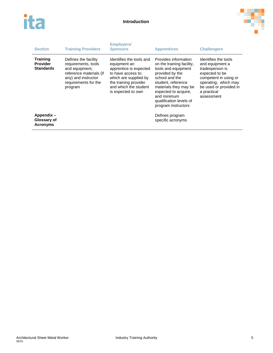



| <b>Section</b>                                         | <b>Training Providers</b>                                                                                                                          | <b>Employers/</b><br><b>Sponsors</b>                                                                                                                                                      | <b>Apprentices</b>                                                                                                                                                                                                                                    | <b>Challengers</b>                                                                                                                                                                   |
|--------------------------------------------------------|----------------------------------------------------------------------------------------------------------------------------------------------------|-------------------------------------------------------------------------------------------------------------------------------------------------------------------------------------------|-------------------------------------------------------------------------------------------------------------------------------------------------------------------------------------------------------------------------------------------------------|--------------------------------------------------------------------------------------------------------------------------------------------------------------------------------------|
| <b>Training</b><br><b>Provider</b><br><b>Standards</b> | Defines the facility<br>requirements, tools<br>and equipment,<br>reference materials (if<br>any) and instructor<br>requirements for the<br>program | Identifies the tools and<br>equipment an<br>apprentice is expected<br>to have access to:<br>which are supplied by<br>the training provider<br>and which the student<br>is expected to own | Provides information<br>on the training facility,<br>tools and equipment<br>provided by the<br>school and the<br>student. reference<br>materials they may be<br>expected to acquire.<br>and minimum<br>qualification levels of<br>program instructors | Identifies the tools<br>and equipment a<br>tradesperson is<br>expected to be<br>competent in using or<br>operating; which may<br>be used or provided in<br>a practical<br>assessment |
| Appendix -<br>Glossary of<br><b>Acronyms</b>           |                                                                                                                                                    |                                                                                                                                                                                           | Defines program<br>specific acronyms                                                                                                                                                                                                                  |                                                                                                                                                                                      |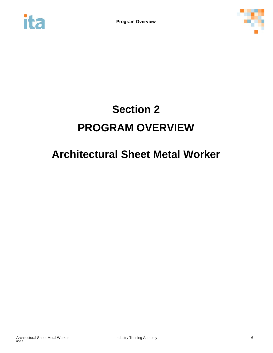<span id="page-9-0"></span>



# **Section 2 PROGRAM OVERVIEW**

# **Architectural Sheet Metal Worker**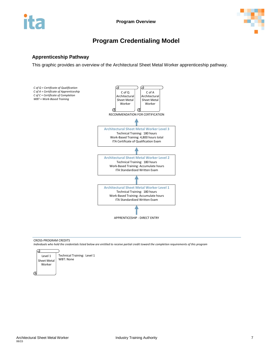

# **Program Credentialing Model**

## <span id="page-10-0"></span>**Apprenticeship Pathway**

This graphic provides an overview of the Architectural Sheet Metal Worker apprenticeship pathway.



### CROSS-PROGRAM CREDITS

*Individuals who hold the credentials listed below are entitled to receive partial credit toward the completion requirements of this program*

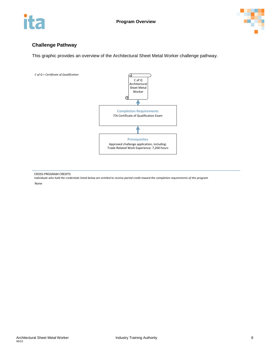



## **Challenge Pathway**

This graphic provides an overview of the Architectural Sheet Metal Worker challenge pathway.



CROSS-PROGRAM CREDITS

*Individuals who hold the credentials listed below are entitled to receive partial credit toward the completion requirements of this program* None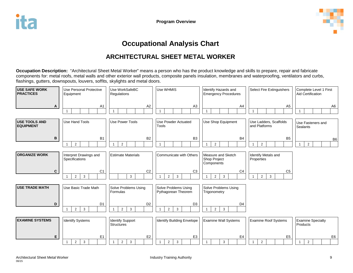

# **Occupational Analysis Chart**

# **ARCHITECTURAL SHEET METAL WORKER**

**Occupation Description:** "Architectural Sheet Metal Worker" means a person who has the product knowledge and skills to prepare, repair and fabricate components for: metal roofs, metal walls and other exterior wall products, composite panels insulation, membranes and waterproofing, ventilators and curbs, flashings, gutters, downspouts, louvers, soffits, skylights and metal doors.

<span id="page-12-0"></span>

| <b>USE SAFE WORK</b><br><b>PRACTICES</b> | <b>Use Personal Protective</b><br>Equipment | Use WorkSafeBC<br>Regulations                    | Use WHMIS<br>Identify Hazards and<br><b>Emergency Procedures</b> |                                                         | <b>Select Fire Extinguishers</b>                 | Complete Level 1 First<br><b>Aid Certification</b> |  |
|------------------------------------------|---------------------------------------------|--------------------------------------------------|------------------------------------------------------------------|---------------------------------------------------------|--------------------------------------------------|----------------------------------------------------|--|
| Α                                        | A <sub>1</sub>                              | A2                                               | A <sub>3</sub>                                                   | A4                                                      | A5                                               | A6                                                 |  |
| <b>USE TOOLS AND</b><br><b>EQUIPMENT</b> | Use Hand Tools                              | Use Power Tools                                  | <b>Use Powder Actuated</b><br><b>Tools</b>                       | Use Shop Equipment                                      | Use Ladders, Scaffolds<br>and Platforms          | Use Fasteners and<br>Sealants                      |  |
| B                                        | <b>B1</b><br>$\overline{2}$                 | <b>B2</b><br>$\overline{2}$                      | B <sub>3</sub>                                                   | B <sub>4</sub><br>$\overline{2}$                        | B <sub>5</sub><br>$\overline{2}$                 | B <sub>6</sub><br>$\overline{2}$                   |  |
| <b>ORGANIZE WORK</b>                     | Interpret Drawings and<br>Specifications    | <b>Estimate Materials</b>                        | Communicate with Others                                          | Measure and Sketch<br><b>Shop Project</b><br>Components | Identify Metals and<br>Properties                |                                                    |  |
| C                                        | C <sub>1</sub><br>$\overline{2}$<br>3       | C <sub>2</sub><br>$\mathbf{3}$                   | C <sub>3</sub><br>2<br>3                                         | C <sub>4</sub><br>$\overline{2}$<br>$\overline{3}$<br>1 | C <sub>5</sub><br>$\overline{2}$<br>$\mathbf{3}$ |                                                    |  |
| <b>USE TRADE MATH</b>                    | Use Basic Trade Math                        | Solve Problems Using<br>Formulas                 | Solve Problems Using<br>Pythagorean Theorem                      | Solve Problems Using<br>Trigonometry                    |                                                  |                                                    |  |
| D                                        | D <sub>1</sub><br>$\overline{2}$<br>3       | D <sub>2</sub><br>$\mathbf{3}$<br>$\overline{2}$ | D <sub>3</sub><br>2<br>$\mathbf{3}$                              | D <sub>4</sub><br>$\overline{3}$<br>$\overline{2}$      |                                                  |                                                    |  |
| <b>EXAMINE SYSTEMS</b>                   | <b>Identify Systems</b>                     | <b>Identify Support</b><br><b>Structures</b>     | <b>Identify Building Envelope</b>                                | <b>Examine Wall Systems</b>                             | <b>Examine Roof Systems</b>                      | <b>Examine Specialty</b><br>Products               |  |
| E                                        | E <sub>1</sub><br>$\overline{2}$<br>3       | E <sub>2</sub><br>$\overline{2}$<br>3            | E <sub>3</sub><br>$\overline{2}$<br>3                            | E4<br>$\mathfrak{Z}$                                    | E <sub>5</sub><br>$\overline{2}$                 | E <sub>6</sub><br>$\overline{2}$                   |  |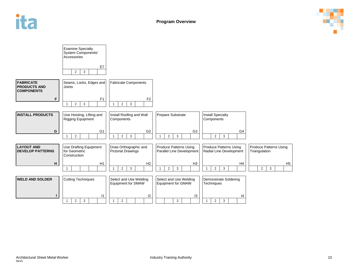



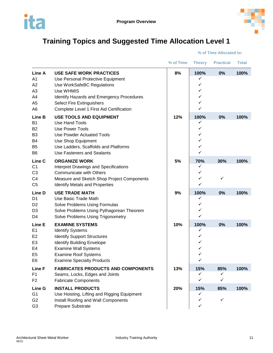

# <span id="page-14-0"></span>**Training Topics and Suggested Time Allocation Level 1**

**% of Time Allocated to:**

|                                                                                                        |                                                                                                                                                                                                                                             | % of Time | <b>Theory</b>                            | <b>Practical</b>         | <b>Total</b> |
|--------------------------------------------------------------------------------------------------------|---------------------------------------------------------------------------------------------------------------------------------------------------------------------------------------------------------------------------------------------|-----------|------------------------------------------|--------------------------|--------------|
| Line A<br>A <sub>1</sub><br>A2<br>A <sub>3</sub><br>A4<br>A <sub>5</sub><br>A <sub>6</sub>             | <b>USE SAFE WORK PRACTICES</b><br>Use Personal Protective Equipment<br>Use WorkSafeBC Regulations<br>Use WHMIS<br>Identify Hazards and Emergency Procedures<br><b>Select Fire Extinguishers</b><br>Complete Level 1 First Aid Certification | 8%        | 100%<br>✓<br>✓<br>✓<br>✓<br>✓<br>✓       | 0%                       | 100%         |
| Line B<br>B <sub>1</sub><br><b>B2</b><br>B <sub>3</sub><br>B4<br>B <sub>5</sub><br>B <sub>6</sub>      | <b>USE TOOLS AND EQUIPMENT</b><br><b>Use Hand Tools</b><br>Use Power Tools<br><b>Use Powder Actuated Tools</b><br>Use Shop Equipment<br>Use Ladders, Scaffolds and Platforms<br><b>Use Fasteners and Sealants</b>                           | 12%       | 100%<br>✓<br>✓<br>✓<br>✓<br>✓<br>✓       | 0%                       | 100%         |
| Line <sub>C</sub><br>C <sub>1</sub><br>C <sub>3</sub><br>C <sub>4</sub><br>C <sub>5</sub>              | <b>ORGANIZE WORK</b><br><b>Interpret Drawings and Specifications</b><br><b>Communicate with Others</b><br>Measure and Sketch Shop Project Components<br><b>Identify Metals and Properties</b>                                               | 5%        | 70%<br>✓<br>✓<br>✓<br>✓                  | 30%<br>✓                 | 100%         |
| Line D<br>D1<br>D <sub>2</sub><br>D <sub>3</sub><br>D4                                                 | <b>USE TRADE MATH</b><br>Use Basic Trade Math<br>Solve Problems Using Formulas<br>Solve Problems Using Pythagorean Theorem<br>Solve Problems Using Trigonometry                                                                             | 9%        | 100%<br>✓<br>✓<br>✓<br>✓                 | 0%                       | 100%         |
| Line E<br>E1<br>E <sub>2</sub><br>E <sub>3</sub><br>E <sub>4</sub><br>E <sub>5</sub><br>E <sub>6</sub> | <b>EXAMINE SYSTEMS</b><br><b>Identify Systems</b><br><b>Identify Support Structures</b><br><b>Identify Building Envelope</b><br><b>Examine Wall Systems</b><br><b>Examine Roof Systems</b><br><b>Examine Specialty Products</b>             | 10%       | 100%<br>✓<br>✓<br>✓<br>✓<br>$\checkmark$ | 0%                       | 100%         |
| Line F<br>F1<br>F <sub>2</sub>                                                                         | <b>FABRICATES PRODUCTS AND COMPONENTS</b><br>Seams, Locks, Edges and Joints<br><b>Fabricate Components</b>                                                                                                                                  | 13%       | 15%<br>✓<br>✓                            | 85%<br>✓<br>$\checkmark$ | 100%         |
| Line G<br>G <sub>1</sub><br>G <sub>2</sub><br>G <sub>3</sub>                                           | <b>INSTALL PRODUCTS</b><br>Use Hoisting, Lifting and Rigging Equipment<br>Install Roofing and Wall Components<br>Prepare Substrate                                                                                                          | 20%       | 15%<br>✓<br>$\checkmark$<br>✓            | 85%<br>$\checkmark$      | 100%         |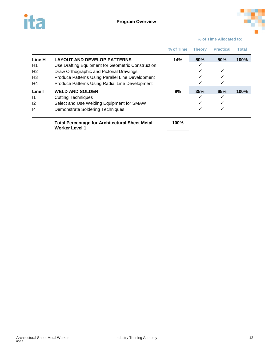



|                                                                                |                                                                                                                                                                                                                                           | % of Time | <b>Theory</b> | <b>Practical</b> | Total |
|--------------------------------------------------------------------------------|-------------------------------------------------------------------------------------------------------------------------------------------------------------------------------------------------------------------------------------------|-----------|---------------|------------------|-------|
| Line H<br>H <sub>1</sub><br>H <sub>2</sub><br>H <sub>3</sub><br>H <sub>4</sub> | <b>LAYOUT AND DEVELOP PATTERNS</b><br>Use Drafting Equipment for Geometric Construction<br>Draw Orthographic and Pictorial Drawings<br>Produce Patterns Using Parallel Line Development<br>Produce Patterns Using Radial Line Development | 14%       | 50%<br>✓      | 50%<br>✓<br>✓    | 100%  |
| Line I<br>$\vert$ 1<br>12<br>14                                                | <b>WELD AND SOLDER</b><br><b>Cutting Techniques</b><br>Select and Use Welding Equipment for SMAW<br>Demonstrate Soldering Techniques                                                                                                      | 9%        | 35%<br>✓<br>✓ | 65%<br>✓         | 100%  |
|                                                                                | <b>Total Percentage for Architectural Sheet Metal</b><br><b>Worker Level 1</b>                                                                                                                                                            | 100%      |               |                  |       |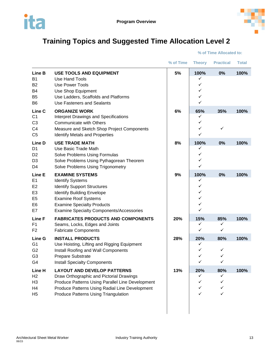

# <span id="page-16-0"></span>**Training Topics and Suggested Time Allocation Level 2**

|                                                                    |                                                                                                                                                                                                                                                     | % of Time | <b>Theory</b>                      | <b>Practical</b>        | <b>Total</b> |
|--------------------------------------------------------------------|-----------------------------------------------------------------------------------------------------------------------------------------------------------------------------------------------------------------------------------------------------|-----------|------------------------------------|-------------------------|--------------|
| Line B<br>Β1<br>B <sub>2</sub><br>B4<br>B <sub>5</sub><br>B6       | <b>USE TOOLS AND EQUIPMENT</b><br>Use Hand Tools<br>Use Power Tools<br>Use Shop Equipment<br>Use Ladders, Scaffolds and Platforms<br>Use Fasteners and Sealants                                                                                     | 5%        | 100%<br>✓<br>✓<br>✓<br>✓<br>✓      | 0%                      | 100%         |
| Line C<br>C <sub>1</sub><br>C <sub>3</sub><br>C4<br>C <sub>5</sub> | <b>ORGANIZE WORK</b><br>Interpret Drawings and Specifications<br><b>Communicate with Others</b><br>Measure and Sketch Shop Project Components<br><b>Identify Metals and Properties</b>                                                              | 6%        | 65%<br>✓<br>✓<br>✓<br>✓            | 35%<br>✓                | 100%         |
| Line D<br>D1<br>D <sub>2</sub><br>D3<br>D4                         | <b>USE TRADE MATH</b><br>Use Basic Trade Math<br>Solve Problems Using Formulas<br>Solve Problems Using Pythagorean Theorem<br>Solve Problems Using Trigonometry                                                                                     | 8%        | 100%<br>✓<br>✓<br>✓<br>✓           | 0%                      | 100%         |
| Line E<br>E1<br>E2<br>E <sub>3</sub><br>E <sub>5</sub><br>E6<br>E7 | <b>EXAMINE SYSTEMS</b><br><b>Identify Systems</b><br><b>Identify Support Structures</b><br><b>Identify Building Envelope</b><br><b>Examine Roof Systems</b><br><b>Examine Specialty Products</b><br><b>Examine Specialty Components/Accessories</b> | 9%        | 100%<br>✓<br>✓<br>✓<br>✓<br>✓<br>✓ | 0%                      | 100%         |
| Line F<br>F1<br>F <sub>2</sub>                                     | <b>FABRICATES PRODUCTS AND COMPONENTS</b><br>Seams, Locks, Edges and Joints<br><b>Fabricate Components</b>                                                                                                                                          | 20%       | 15%<br>✓<br>✓                      | 85%<br>✓<br>✓           | 100%         |
| Line G<br>G1<br>G <sub>2</sub><br>G <sub>3</sub><br>G4             | <b>INSTALL PRODUCTS</b><br>Use Hoisting, Lifting and Rigging Equipment<br>Install Roofing and Wall Components<br>Prepare Substrate<br><b>Install Specialty Components</b>                                                                           | 28%       | 20%<br>✓<br>✓<br>✓<br>✓            | 80%<br>✓<br>✓<br>✓      | 100%         |
| Line H<br>H <sub>2</sub><br>H3<br>H4<br>H5                         | <b>LAYOUT AND DEVELOP PATTERNS</b><br>Draw Orthographic and Pictorial Drawings<br>Produce Patterns Using Parallel Line Development<br>Produce Patterns Using Radial Line Development<br>Produce Patterns Using Triangulation                        | 13%       | 20%<br>✓<br>✓<br>✓<br>✓            | 80%<br>✓<br>✓<br>✓<br>✓ | 100%         |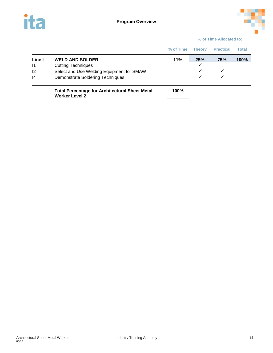



|                                    |                                                                                                                                      | % of Time | <b>Theory</b>                            | <b>Practical</b>     | Total   |
|------------------------------------|--------------------------------------------------------------------------------------------------------------------------------------|-----------|------------------------------------------|----------------------|---------|
| Line I<br>$\mathsf{I}$<br>12<br> 4 | <b>WELD AND SOLDER</b><br><b>Cutting Techniques</b><br>Select and Use Welding Equipment for SMAW<br>Demonstrate Soldering Techniques | 11%       | 25%<br>$\checkmark$<br>$\checkmark$<br>✓ | <b>75%</b><br>✓<br>✓ | $100\%$ |
|                                    | <b>Total Percentage for Architectural Sheet Metal</b><br><b>Worker Level 2</b>                                                       | 100%      |                                          |                      |         |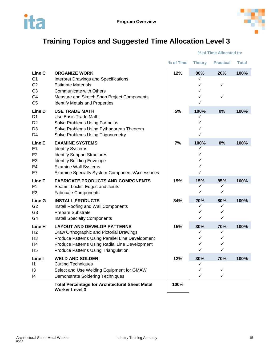



# <span id="page-18-0"></span>**Training Topics and Suggested Time Allocation Level 3**

|                                                                                                  |                                                                                                                                                                                                                              | % of Time | <b>Theory</b>                 | <b>Practical</b>         | <b>Total</b> |
|--------------------------------------------------------------------------------------------------|------------------------------------------------------------------------------------------------------------------------------------------------------------------------------------------------------------------------------|-----------|-------------------------------|--------------------------|--------------|
| Line C<br>C <sub>1</sub><br>C <sub>2</sub><br>C <sub>3</sub><br>C <sub>4</sub><br>C <sub>5</sub> | <b>ORGANIZE WORK</b><br><b>Interpret Drawings and Specifications</b><br><b>Estimate Materials</b><br>Communicate with Others<br>Measure and Sketch Shop Project Components<br><b>Identify Metals and Properties</b>          | 12%       | 80%<br>✓<br>✓<br>✓<br>✓<br>✓  | 20%<br>✓<br>✓            | 100%         |
| Line D<br>D <sub>1</sub><br>D <sub>2</sub><br>D <sub>3</sub><br>D4                               | <b>USE TRADE MATH</b><br>Use Basic Trade Math<br>Solve Problems Using Formulas<br>Solve Problems Using Pythagorean Theorem<br>Solve Problems Using Trigonometry                                                              | 5%        | 100%<br>✓<br>✓<br>✓<br>✓      | 0%                       | 100%         |
| Line E<br>E <sub>1</sub><br>E <sub>2</sub><br>E3<br>E4<br>E7                                     | <b>EXAMINE SYSTEMS</b><br><b>Identify Systems</b><br><b>Identify Support Structures</b><br><b>Identify Building Envelope</b><br><b>Examine Wall Systems</b><br><b>Examine Specialty System Components/Accessories</b>        | 7%        | 100%<br>✓<br>✓<br>✓<br>✓<br>✓ | 0%                       | 100%         |
| Line F<br>F <sub>1</sub><br>F2                                                                   | <b>FABRICATE PRODUCTS AND COMPONENTS</b><br>Seams, Locks, Edges and Joints<br><b>Fabricate Components</b>                                                                                                                    | 15%       | 15%<br>✓<br>✓                 | 85%<br>✓<br>✓            | 100%         |
| Line G<br>G <sub>2</sub><br>G <sub>3</sub><br>G4                                                 | <b>INSTALL PRODUCTS</b><br>Install Roofing and Wall Components<br>Prepare Substrate<br><b>Install Specialty Components</b>                                                                                                   | 34%       | 20%<br>✓<br>✓<br>✓            | 80%<br>✓<br>✓<br>✓       | 100%         |
| Line H<br>H <sub>2</sub><br>H <sub>3</sub><br>H4<br>H <sub>5</sub>                               | <b>LAYOUT AND DEVELOP PATTERNS</b><br>Draw Orthographic and Pictorial Drawings<br>Produce Patterns Using Parallel Line Development<br>Produce Patterns Using Radial Line Development<br>Produce Patterns Using Triangulation | 15%       | 30%<br>✓<br>✓<br>✓<br>✓       | 70%<br>✓<br>✓<br>✓<br>✓  | 100%         |
| Line I<br>$\vert$ 1<br>13<br>14                                                                  | <b>WELD AND SOLDER</b><br><b>Cutting Techniques</b><br>Select and Use Welding Equipment for GMAW<br><b>Demonstrate Soldering Techniques</b>                                                                                  | 12%       | 30%<br>✓<br>✓<br>✓            | 70%<br>✓<br>$\checkmark$ | 100%         |
|                                                                                                  | <b>Total Percentage for Architectural Sheet Metal</b><br><b>Worker Level 3</b>                                                                                                                                               | 100%      |                               |                          |              |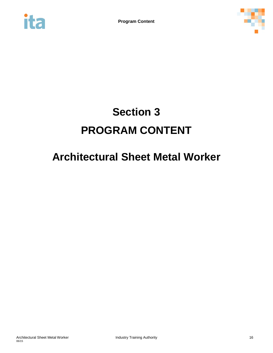<span id="page-19-0"></span>



# **Section 3 PROGRAM CONTENT**

# **Architectural Sheet Metal Worker**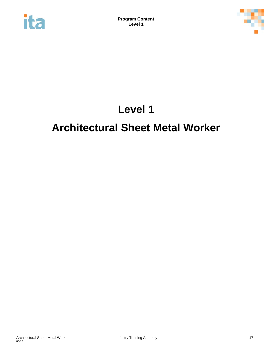<span id="page-20-0"></span>



# **Level 1**

# **Architectural Sheet Metal Worker**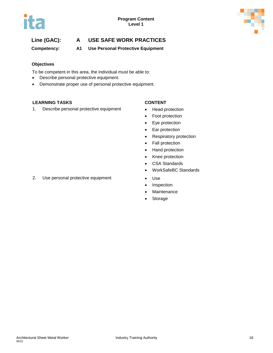

**Competency: A1 Use Personal Protective Equipment**

### **Objectives**

To be competent in this area, the individual must be able to:

- Describe personal protective equipment.
- Demonstrate proper use of personal protective equipment.

### **LEARNING TASKS CONTENT**

1. Describe personal protective equipment • Head protection

- 
- Foot protection
- Eye protection
- Ear protection
- Respiratory protection
- Fall protection
- Hand protection
- Knee protection
- CSA Standards
- WorkSafeBC Standards
- 
- Inspection
- Maintenance
- **Storage**

2. Use personal protective equipment • Use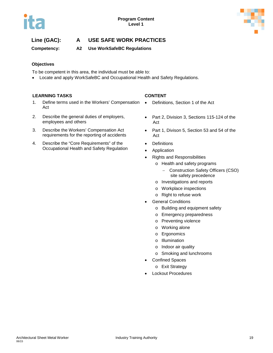

**Competency: A2 Use WorkSafeBC Regulations**

## **Objectives**

To be competent in this area, the individual must be able to:

• Locate and apply WorkSafeBC and Occupational Health and Safety Regulations.

### **LEARNING TASKS CONTENT**

- 1. Define terms used in the Workers' Compensation Act
- 2. Describe the general duties of employers, employees and others
- 3. Describe the Workers' Compensation Act requirements for the reporting of accidents
- 4. Describe the "Core Requirements" of the Occupational Health and Safety Regulation

- Definitions, Section 1 of the Act
- Part 2, Division 3, Sections 115-124 of the Act
- Part 1, Divison 5, Section 53 and 54 of the Act
- **Definitions**
- **Application**
- Rights and Responsibilities
	- o Health and safety programs
		- − Construction Safety Officers (CSO) site safety precedence
	- o Investigations and reports
	- o Workplace inspections
	- o Right to refuse work
- **General Conditions** 
	- o Building and equipment safety
	- o Emergency preparedness
	- o Preventing violence
	- o Working alone
	- o Ergonomics
	- o Illumination
	- o Indoor air quality
	- o Smoking and lunchrooms
- Confined Spaces
	- o Exit Strategy
- Lockout Procedures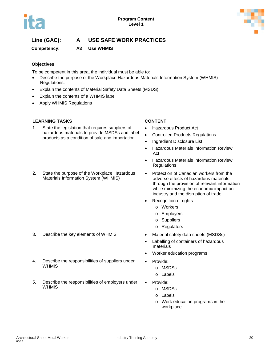

**Competency: A3 Use WHMIS**

## **Objectives**

To be competent in this area, the individual must be able to:

- Describe the purpose of the Workplace Hazardous Materials Information System (WHMIS) Regulations.
- Explain the contents of Material Safety Data Sheets (MSDS)
- Explain the contents of a WHMIS label
- Apply WHMIS Regulations

## **LEARNING TASKS CONTENT**

- 1. State the legislation that requires suppliers of hazardous materials to provide MSDSs and label products as a condition of sale and importation
- 2. State the purpose of the Workplace Hazardous Materials Information System (WHMIS)

- 3. Describe the key elements of WHMIS Material safety data sheets (MSDSs)
- 4. Describe the responsibilities of suppliers under **WHMIS**
- 5. Describe the responsibilities of employers under WHMIS

- Hazardous Product Act
- Controlled Products Regulations
- Ingredient Disclosure List
- Hazardous Materials Information Review Act
- Hazardous Materials Information Review Regulations
- Protection of Canadian workers from the adverse effects of hazardous materials through the provision of relevant information while minimizing the economic impact on industry and the disruption of trade
- Recognition of rights
	- o Workers
	- o Employers
	- o Suppliers
	- o Regulators
- 
- Labelling of containers of hazardous materials
- Worker education programs
- Provide:
	- o MSDSs
	- o Labels
- Provide:
	- o MSDSs
	- o Labels
	- o Work education programs in the workplace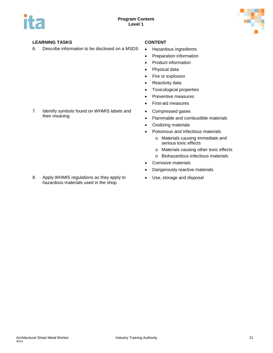

## **LEARNING TASKS CONTENT**

6. Describe information to be disclosed on a MSDS • Hazardous ingredients

- 
- Preparation information
- Product information
- Physical data
- Fire or explosion
- Reactivity data
- Toxicological properties
- Preventive measures
- First-aid measures
- Compressed gases
- Flammable and combustible materials
- Oxidizing materials
- Poisonous and infectious materials
	- o Materials causing immediate and serious toxic effects
	- o Materials causing other toxic effects
	- o Biohazardous infectious materials
- Corrosive materials
- Dangerously reactive materials
- Use, storage and disposal

7. Identify symbols found on WHMIS labels and their meaning

8. Apply WHMIS regulations as they apply to hazardous materials used in the shop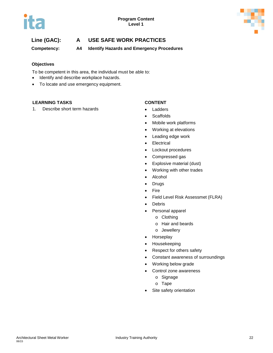

**Competency: A4 Identify Hazards and Emergency Procedures**

### **Objectives**

To be competent in this area, the individual must be able to:

- Identify and describe workplace hazards.
- To locate and use emergency equipment.

### **LEARNING TASKS CONTENT**

1. Describe short term hazards **•** Ladders

- 
- Scaffolds
- Mobile work platforms
- Working at elevations
- Leading edge work
- Electrical
- Lockout procedures
- Compressed gas
- Explosive material (dust)
- Working with other trades
- Alcohol
- Drugs
- Fire
- Field Level Risk Assessmet (FLRA)
- Debris
- Personal apparel
	- o Clothing
	- o Hair and beards
	- o Jewellery
- Horseplay
- Housekeeping
- Respect for others safety
- Constant awareness of surroundings
- Working below grade
- Control zone awareness
	- o Signage
	- o Tape
- Site safety orientation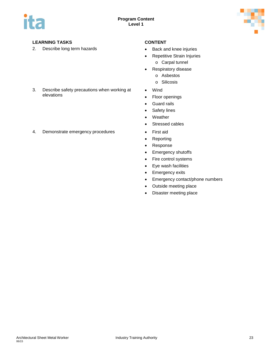

## **LEARNING TASKS CONTENT**

2. Describe long term hazards **•** Back and knee injuries

- 
- Repetitive Strain Injuries
	- o Carpal tunnel
- Respiratory disease
	- o Asbestos
	- o Silicosis
- Wind
- Floor openings
- Guard rails
- Safety lines
- Weather
- Stressed cables
- 
- Reporting
- Response
- Emergency shutoffs
- Fire control systems
- Eye wash facilities
- Emergency exits
- Emergency contact/phone numbers
- Outside meeting place
- Disaster meeting place
- 3. Describe safety precautions when working at elevations
- 4. Demonstrate emergency procedures First aid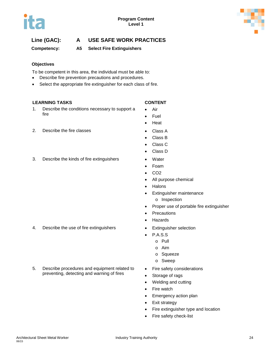# **Competency: A5 Select Fire Extinguishers**

## **Objectives**

To be competent in this area, the individual must be able to:

- Describe fire prevention precautions and procedures.
- Select the appropriate fire extinguisher for each class of fire.

## **LEARNING TASKS CONTENT**

- 1. Describe the conditions necessary to support a fire
	-

- Air
- Fuel
- Heat
- 2. Describe the fire classes **•** Class A
	- Class B
	- Class C
	- Class D
- 3. Describe the kinds of fire extinguishers Water
	- Foam
	- CO2
	- All purpose chemical
	- Halons
	- Extinguisher maintenance
		- o Inspection
	- Proper use of portable fire extinguisher
	- **Precautions**
	- **Hazards**
- 4. Describe the use of fire extinguishers Extinguisher selection
	- P.A.S.S
	- o Pull
		- o Aim
		- o Squeeze
		- o Sweep
	- Fire safety considerations
	- Storage of rags
	- Welding and cutting
	- Fire watch
	- Emergency action plan
	- Exit strategy
	- Fire extinguisher type and location
	- Fire safety check-list

5. Describe procedures and equipment related to preventing, detecting and warning of fires





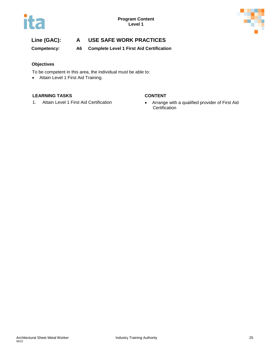

**Competency: A6 Complete Level 1 First Aid Certification**

## **Objectives**

To be competent in this area, the individual must be able to:

• Attain Level 1 First Aid Training.

### **LEARNING TASKS CONTENT**

1. Attain Level 1 First Aid Certification **•** Arrange with a qualified provider of First Aid **Certification**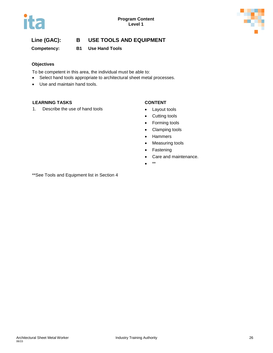

## **Competency: B1 Use Hand Tools**

### **Objectives**

To be competent in this area, the individual must be able to:

- Select hand tools appropriate to architectural sheet metal processes.
- Use and maintain hand tools.

### **LEARNING TASKS CONTENT**

1. Describe the use of hand tools **•** Layout tools

- 
- Cutting tools
- Forming tools
- Clamping tools
- Hammers
- Measuring tools
- Fastening
- Care and maintenance.
- \*\*

\*\*See Tools and Equipment list in Section 4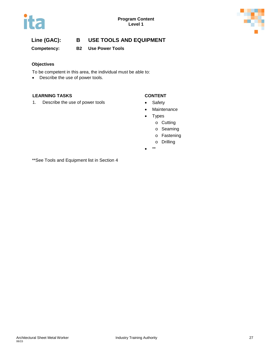



**Competency: B2 Use Power Tools**

### **Objectives**

To be competent in this area, the individual must be able to:

• Describe the use of power tools.

### **LEARNING TASKS CONTENT**

1. Describe the use of power tools **•** Safety

- 
- Maintenance
- Types
	- o Cutting
	- o Seaming
	- o Fastening
	- o Drilling
- $\bullet$

\*\*See Tools and Equipment list in Section 4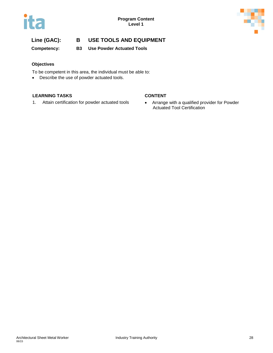



**Competency: B3 Use Powder Actuated Tools**

### **Objectives**

To be competent in this area, the individual must be able to:

• Describe the use of powder actuated tools.

### **LEARNING TASKS CONTENT**

1. Attain certification for powder actuated tools • Arrange with a qualified provider for Powder

Actuated Tool Certification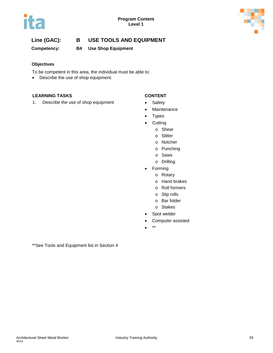



**Competency: B4 Use Shop Equipment**

### **Objectives**

To be competent in this area, the individual must be able to:

• Describe the use of shop equipment.

### **LEARNING TASKS CONTENT**

1. Describe the use of shop equipment • Safety

- 
- Maintenance
- Types
- Cutting
	- o Shear
	- o Slitter
	- o Notcher
	- o Punching
	- o Saws
	- o Drilling
- Forming
	- o Rotary
	- o Hand brakes
	- o Roll formers
	- o Slip rolls
	- o Bar folder
	- o Stakes
- Spot welder
- Computer assisted
- \*\*

\*\*See Tools and Equipment list in Section 4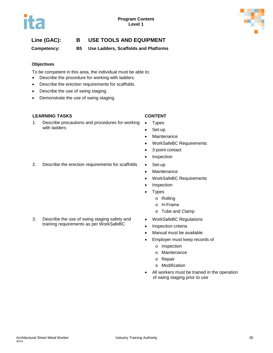

**Competency: B5 Use Ladders, Scaffolds and Platforms**

### **Objectives**

To be competent in this area, the individual must be able to:

- Describe the procedure for working with ladders.
- Describe the erection requirements for scaffolds.
- Describe the use of swing staging.
- Demonstrate the use of swing staging.

### **LEARNING TASKS CONTENT**

1. Describe precautions and procedures for working with ladders

- Types
- Set-up
- Maintenance
- WorkSafeBC Requirements
- 3-point contact
- Inspection
- 2. Describe the erection requirements for scaffolds Set-up
	- **Maintenance**
	- WorkSafeBC Requirements
	- Inspection
	- Types
		- o Rolling
		- o H-Frame
		- o Tube and Clamp
	- WorkSafeBC Regulations
	- Inspection criteria
	- Manual must be available
	- Employer must keep records of
		- o Inspection
		- o Maintenance
		- o Repair
		- o Modification
	- All workers must be trained in the operation of swing staging prior to use

3. Describe the use of swing staging safety and training requirements as per WorkSafeBC

- -
	-
	-
	-
	-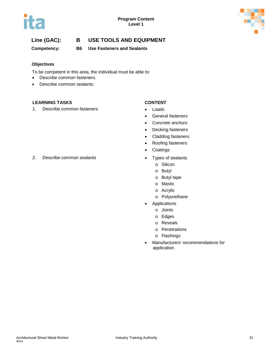



**Competency: B6 Use Fasteners and Sealants**

### **Objectives**

To be competent in this area, the individual must be able to:

- Describe common fasteners.
- Describe common sealants.

### **LEARNING TASKS CONTENT**

1. Describe common fasteners **•** Loads

- 
- General fasteners
- Concrete anchors
- Decking fasteners
- Cladding fasteners
- Roofing fasteners
- Coatings
- - o Silicon
	- o Butyl
	- o Butyl tape
	- o Mastic
	- o Acrylic
	- o Polyurethane
- **Applications** 
	- o Joints
	- o Edges
	- o Reveals
	- o Penetrations
	- o Flashings
- Manufacturers' recommendations for application

2. Describe common sealants **•** Types of sealants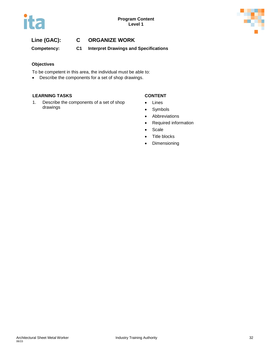

# **Line (GAC): C ORGANIZE WORK**

**Competency: C1 Interpret Drawings and Specifications**

### **Objectives**

To be competent in this area, the individual must be able to:

• Describe the components for a set of shop drawings.

### **LEARNING TASKS CONTENT**

1. Describe the components of a set of shop drawings

- Lines
- Symbols
- Abbreviations
- Required information
- Scale
- Title blocks
- Dimensioning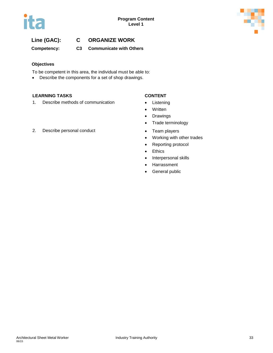

# **Line (GAC): C ORGANIZE WORK**

**Competency: C3 Communicate with Others**

#### **Objectives**

To be competent in this area, the individual must be able to:

• Describe the components for a set of shop drawings.

### **LEARNING TASKS CONTENT**

1. Describe methods of communication • Listening

- 
- Written
- Drawings
- Trade terminology
- 
- Working with other trades
- Reporting protocol
- Ethics
- Interpersonal skills
- Harrassment
- General public

2. Describe personal conduct **•** Team players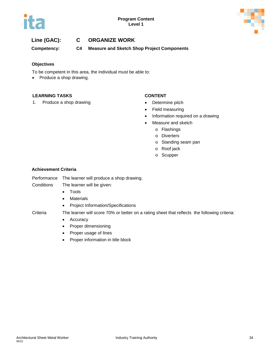



## **Line (GAC): C ORGANIZE WORK**

**Competency: C4 Measure and Sketch Shop Project Components**

#### **Objectives**

To be competent in this area, the individual must be able to:

• Produce a shop drawing.

#### **LEARNING TASKS CONTENT**

1. Produce a shop drawing example to the Determine pitch

- 
- Field measuring
- Information required on a drawing
- Measure and sketch
	- o Flashings
	- o Diverters
	- o Standing seam pan
	- o Roof jack
	- o Scupper

#### **Achievement Criteria**

Performance The learner will produce a shop drawing.

Conditions The learner will be given:

- Tools
- Materials
- Project Information/Specifications

- Criteria The learner will score 70% or better on a rating sheet that reflects the following criteria:
	- Accuracy
	- Proper dimensioning
	- Proper usage of lines
	- Proper information in title block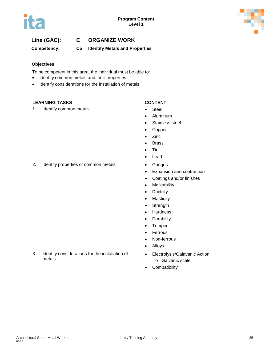

# **Line (GAC): C ORGANIZE WORK**

**Competency: C5 Identify Metals and Properties**

#### **Objectives**

To be competent in this area, the individual must be able to:

- Identify common metals and their properties.
- Identify considerations for the installation of metals.

#### **LEARNING TASKS CONTENT**

1. Identify common metals **•** Steel

- 
- Aluminum
- Stainless steel
- Copper
- Zinc
- Brass
- Tin
- Lead
- 2. Identify properties of common metals Gauges
	- Expansion and contraction
	- Coatings and/or finishes
	- Malleability
	- Ductility
	- Elasticity
	- Strength
	- Hardness
	- Durability
	- Temper
	- Ferrous
	- Non-ferrous
	- Alloys
	- Electrolysis/Galavanic Action
		- o Galvanic scale
	- Compatibility
- 3. Identify considerations for the installation of metals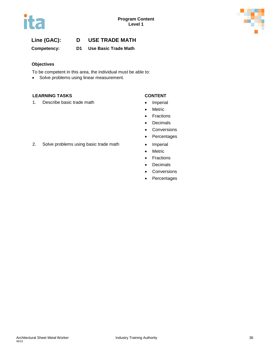

**Competency: D1 Use Basic Trade Math**

### **Objectives**

To be competent in this area, the individual must be able to:

• Solve problems using linear measurement.

#### **LEARNING TASKS CONTENT**

1. Describe basic trade math **•** Imperial

- 
- Metric
- Fractions
- Decimals
- Conversions
- Percentages
- 
- Metric
- Fractions
- Decimals
- **Conversions**
- Percentages
- 2. Solve problems using basic trade math Imperial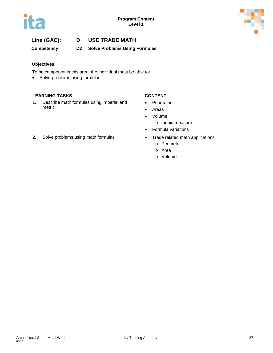



**Competency: D2 Solve Problems Using Formulas**

#### **Objectives**

To be competent in this area, the individual must be able to:

• Solve problems using formulas.

#### **LEARNING TASKS CONTENT**

1. Describe math formulas using imperial and metric

- Perimeter
- Areas
- Volume
	- o Liquid measure
- Formula variations
- - o Perimeter
	- o Area
	- o Volume
- 2. Solve problems using math formulas Trade related math applications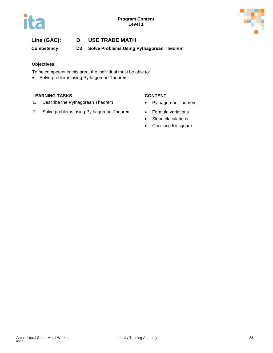



**Competency: D3 Solve Problems Using Pythagorean Theorem**

### **Objectives**

To be competent in this area, the individual must be able to:

• Solve problems using Pythagorean Theorem.

#### **LEARNING TASKS CONTENT**

- 1. Describe the Pythagorean Theorem **•** Pythagorean Theorem
- 2. Solve problems using Pythagorean Theorem Formula variations
- -
	- Slope claculations
	- Checking for square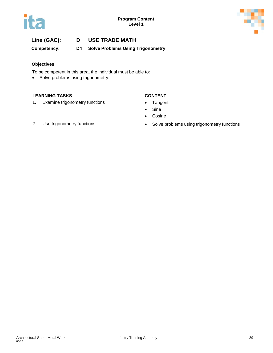



**Competency: D4 Solve Problems Using Trigonometry**

#### **Objectives**

To be competent in this area, the individual must be able to:

• Solve problems using trigonometry.

#### **LEARNING TASKS CONTENT**

1. Examine trigonometry functions • Tangent

- 
- Sine
- Cosine
- 
- 2. Use trigonometry functions **•** Solve problems using trigonometry functions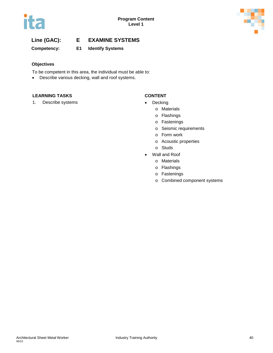

**Competency: E1 Identify Systems**

### **Objectives**

To be competent in this area, the individual must be able to:

• Describe various decking, wall and roof systems.

### **LEARNING TASKS CONTENT**

1. Describe systems **•** Decking

- - o Materials
	- o Flashings
	- o Fastenings
	- o Seismic requirements
	- o Form work
	- o Acoustic properties
	- o Studs
- Wall and Roof
	- o Materials
	- o Flashings
	- o Fastenings
	- o Combined component systems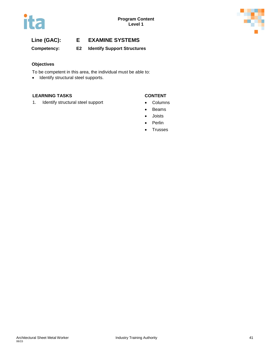

**Competency: E2 Identify Support Structures**

### **Objectives**

To be competent in this area, the individual must be able to:

• Identify structural steel supports.

### **LEARNING TASKS CONTENT**

1. Identify structural steel support **•** Columns

- 
- Beams
- Joists
- Perlin
- Trusses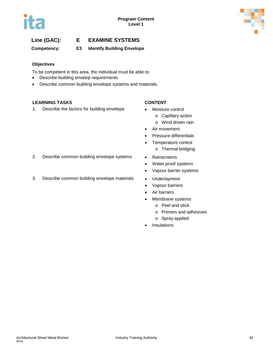

**Competency: E3 Identify Building Envelope**

### **Objectives**

To be competent in this area, the individual must be able to:

- Describe building envelop requirements.
- Describe common building envelope systems and materials.

### **LEARNING TASKS CONTENT**

1. Describe the factors for building envelope • Moisture control

- - o Capillary action
	- o Wind driven rain
- Air movement
- Pressure differentials
- Temperature control
	- o Thermal bridging
- 2. Describe common building envelope systems Rainscreens
	- Water proof systems
	- Vapour barrier systems
- 3. Describe common building envelope materials Underlayment
	- Vapour barriers
	- Air barriers
	- Membrane systems
		- o Peel and stick
		- o Primers and adhesives
		- o Spray applied
	- **Insulations**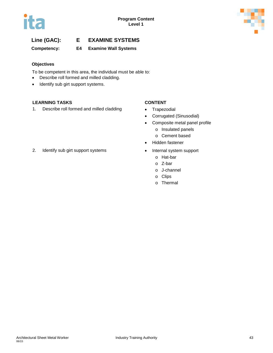

**Competency: E4 Examine Wall Systems**

### **Objectives**

To be competent in this area, the individual must be able to:

- Describe roll formed and milled cladding.
- Identify sub girt support systems.

### **LEARNING TASKS CONTENT**

1. Describe roll formed and milled cladding • Trapezodial

- 
- Corrugated (Sinusodial)
- Composite metal panel profile
	- o Insulated panels
	- o Cement based
- Hidden fastener
- - o Hat-bar
	- o Z-bar
	- o J-channel
	- o Clips
	- o Thermal
- 2. Identify sub girt support systems Internal system support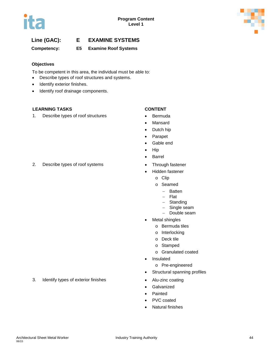

**Competency: E5 Examine Roof Systems**

### **Objectives**

To be competent in this area, the individual must be able to:

- Describe types of roof structures and systems.
- Identify exterior finishes.
- Identify roof drainage components.

### **LEARNING TASKS CONTENT**

1. Describe types of roof structures **•** Bermuda

- 
- **Mansard**
- Dutch hip
- Parapet
- Gable end
- Hip
- Barrel
- 
- Hidden fastener
	- o Clip
	- o Seamed
		- − Batten
		- − Flat
		- − Standing
		- Single seam
		- − Double seam
- **Metal shingles** 
	- o Bermuda tiles
	- o Interlocking
	- o Deck tile
	- o Stamped
	- o Granulated coated
- Insulated
	- o Pre-engineered
- Structural spanning profiles
- 
- **Galvanized**
- Painted
	- PVC coated
- Natural finishes

### 2. Describe types of roof systems • Through fastener

### 3. Identify types of exterior finishes • Alu-zinc coating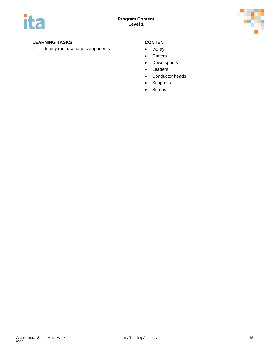

### **LEARNING TASKS CONTENT**

4. Identify roof drainage components • Valley

- 
- Gutters
- Down spouts
- Leaders
- Conductor heads
- Scuppers
- Sumps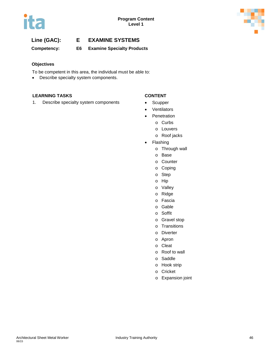



**Competency: E6 Examine Specialty Products**

### **Objectives**

To be competent in this area, the individual must be able to:

• Describe specialty system components.

### **LEARNING TASKS CONTENT**

1. Describe specialty system components • Scupper

- 
- **Ventilators** 
	- **Penetration** 
		- o Curbs
		- o Louvers
		- o Roof jacks
- **Flashing** 
	- o Through wall
	- o Base
	- o Counter
	- o Coping
	- o Step
	- o Hip
	- o Valley
	- o Ridge
	- o Fascia
	- o Gable
	- o Soffit
	- o Gravel stop
	- o Transitions
	- o Diverter
	- o Apron
	- o Cleat
	- o Roof to wall
	- o Saddle
	- o Hook strip
	- o Cricket
	- o Expansion joint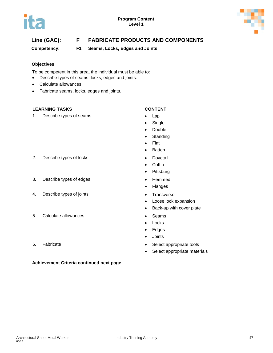

# **Line (GAC): F FABRICATE PRODUCTS AND COMPONENTS**

**Competency: F1 Seams, Locks, Edges and Joints**

### **Objectives**

To be competent in this area, the individual must be able to:

- Describe types of seams, locks, edges and joints.
- Calculate allowances.
- Fabricate seams, locks, edges and joints.

### **LEARNING TASKS CONTENT**

1. Describe types of seams **•** Lap

- 
- Single
- Double
- Standing
- Flat
- Batten
- 
- Coffin
- **Pittsburg**
- 
- Flanges
- 
- Loose lock expansion
- Back-up with cover plate
- 
- Locks
- Edges
- Joints
- 6. Fabricate **•** Select appropriate tools
	- Select appropriate materials
- 2. Describe types of locks **•** Dovetail
- 3. Describe types of edges  **Hemmed**
- 4. Describe types of joints **•** Transverse
- 5. Calculate allowances **•** Seams
- 

### **Achievement Criteria continued next page**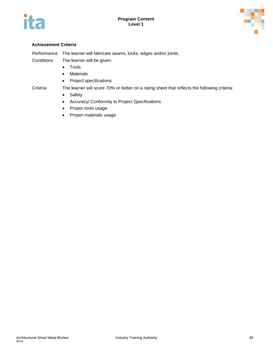



#### **Achievement Criteria**

Performance The learner will fabricate seams, locks, edges and/or joints. Conditions The learner will be given:

- Tools
- Materials
- Project specifications

Criteria The learner will score 70% or better on a rating sheet that reflects the following criteria:

- Safety
- Accuracy/ Conformity to Project Specifications
- Proper tools usage
- Proper materials usage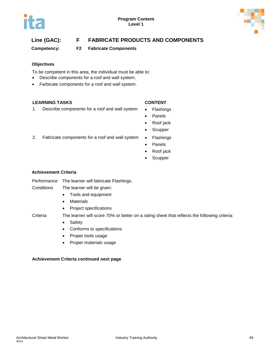

# **Line (GAC): F FABRICATE PRODUCTS AND COMPONENTS**

**Competency: F2 Fabricate Components**

### **Objectives**

To be competent in this area, the individual must be able to:

- Describe components for a roof and wall system.
- Farbicate components for a roof and wall system.

#### **LEARNING TASKS CONTENT**

1. Describe components for a roof and wall system • Flashings

- 
- Panels
- Roof jack
- Scupper
- 2. Fabricate components for a roof and wall system Flashings
	- Panels
	- Roof jack
	- Scupper

### **Achievement Criteria**

- Performance The learner will fabricate Flashings.
- Conditions The learner will be given:
	- Tools and equipment
	- Materials
	- Project specifications

Criteria The learner will score 70% or better on a rating sheet that reflects the following criteria:

- Safety
- Conforms to specifications
- Proper tools usage
- Proper materials usage

#### **Achievement Criteria continued next page**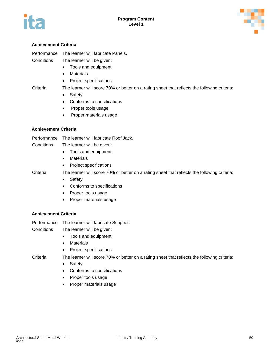



#### **Achievement Criteria**

Performance The learner will fabricate Panels.

Conditions The learner will be given:

- Tools and equipment
- Materials
- Project specifications

Criteria The learner will score 70% or better on a rating sheet that reflects the following criteria:

- Safety
- Conforms to specifications
- Proper tools usage
- Proper materials usage

#### **Achievement Criteria**

- Performance The learner will fabricate Roof Jack.
- Conditions The learner will be given:
	- Tools and equipment
	- Materials
	- Project specifications

Criteria The learner will score 70% or better on a rating sheet that reflects the following criteria:

- Safety
- Conforms to specifications
- Proper tools usage
- Proper materials usage

#### **Achievement Criteria**

Performance The learner will fabricate Scupper.

Conditions The learner will be given:

- Tools and equipment
- Materials
- Project specifications

- Criteria The learner will score 70% or better on a rating sheet that reflects the following criteria:
	- Safety
	- Conforms to specifications
	- Proper tools usage
	- Proper materials usage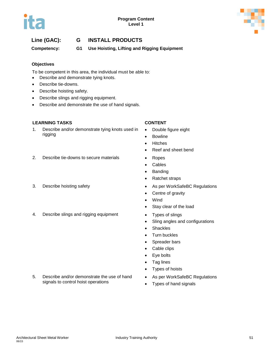

# **Line (GAC): G INSTALL PRODUCTS**

**Competency: G1 Use Hoisting, Lifting and Rigging Equipment**

#### **Objectives**

To be competent in this area, the individual must be able to:

- Describe and demonstrate tying knots.
- Describe tie-downs.
- Describe hoisting safety.
- Describe slings and rigging equipment.
- Describe and demonstrate the use of hand signals.

#### **LEARNING TASKS CONTENT**

1. Describe and/or demonstrate tying knots used in rigging

- Double figure eight
- **Bowline**
- Hitches
- Reef and sheet bend
- 2. Describe tie-downs to secure materials Ropes
	- Cables
	- **Banding**
	- Ratchet straps
- 3. Describe hoisting safety **be a state of the Secret State As per WorkSafeBC Regulations** 
	- Centre of gravity
	- Wind
	- Stay clear of the load
	-
	- Sling angles and configurations
	- Shackles
	- **Turn buckles**
	- Spreader bars
	- Cable clips
	- Eye bolts
	- Tag lines
	- Types of hoists
	- As per WorkSafeBC Regulations
	- Types of hand signals
- 
- 4. Describe slings and rigging equipment Types of slings

5. Describe and/or demonstrate the use of hand signals to control hoist operations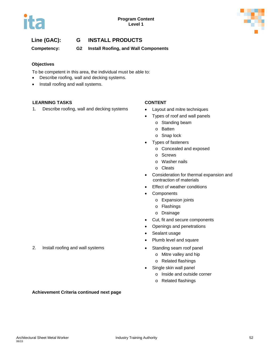

# **Line (GAC): G INSTALL PRODUCTS**

**Competency: G2 Install Roofing, and Wall Components**

### **Objectives**

To be competent in this area, the individual must be able to:

- Describe roofing, wall and decking systems.
- Install roofing and wall systems.

### **LEARNING TASKS CONTENT**

1. Describe roofing, wall and decking systems • Layout and mitre techniques

- 
- Types of roof and wall panels
	- o Standing beam
	- o Batten
	- o Snap lock
- Types of fasteners
	- o Concealed and exposed
	- o Screws
	- o Washer nails
	- o Cleats
- Consideration for thermal expansion and contraction of materials
- **Effect of weather conditions**
- **Components** 
	- o Expansion joints
	- o Flashings
	- o Drainage
- Cut, fit and secure components
- Openings and penetrations
- Sealant usage
- Plumb level and square
- - o Mitre valley and hip
	- o Related flashings
- Single skin wall panel
	- o Inside and outside corner
	- o Related flashings
- 2. Install roofing and wall systems **•** Standing seam roof panel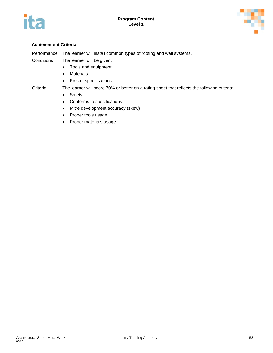



#### **Achievement Criteria**

Performance The learner will install common types of roofing and wall systems.

Conditions The learner will be given:

- Tools and equipment
- Materials
- Project specifications

#### Criteria The learner will score 70% or better on a rating sheet that reflects the following criteria:

- Safety
- Conforms to specifications
- Mitre development accuracy (skew)
- Proper tools usage
- Proper materials usage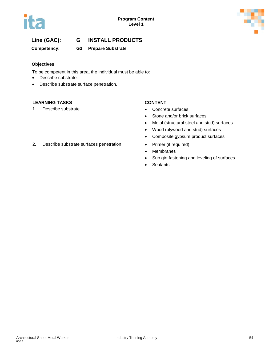

# **Line (GAC): G INSTALL PRODUCTS**

### **Competency: G3 Prepare Substrate**

### **Objectives**

To be competent in this area, the individual must be able to:

- Describe substrate.
- Describe substrate surface penetration.

#### **LEARNING TASKS CONTENT**

1. Describe substrate **•** Concrete surfaces

- 
- Stone and/or brick surfaces
- Metal (structural steel and stud) surfaces
- Wood (plywood and stud) surfaces
- Composite gypsum product surfaces
- 
- Membranes
- Sub girt fastening and leveling of surfaces
- Sealants
- 2. Describe substrate surfaces penetration Primer (if required)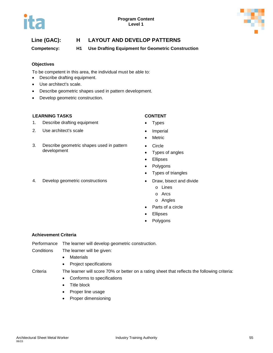

**Competency: H1 Use Drafting Equipment for Geometric Construction**

### **Objectives**

To be competent in this area, the individual must be able to:

- Describe drafting equipment.
- Use architect's scale.
- Describe geometric shapes used in pattern development.
- Develop geometric construction.

### **LEARNING TASKS CONTENT**

- 1. Describe drafting equipment Types
- 2. Use architect's scale **•** Imperial
- 3. Describe geometric shapes used in pattern development
- 4. Develop geometric constructions Draw, bisect and divide
- 
- 
- 
- Metric
- Circle
- Types of angles
- Ellipses
- Polygons
- Types of triangles
- - o Lines
	- o Arcs
	- o Angles
- Parts of a circle
- **Ellipses**
- **Polygons**

#### **Achievement Criteria**

Performance The learner will develop geometric construction.

Conditions The learner will be given:

- Materials
- Project specifications

Criteria The learner will score 70% or better on a rating sheet that reflects the following criteria:

- Conforms to specifications
- Title block
- Proper line usage
- Proper dimensioning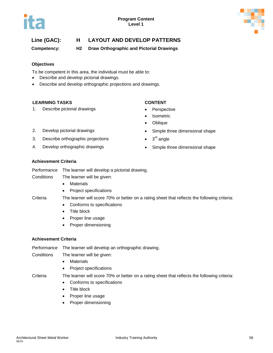

**Competency: H2 Draw Orthographic and Pictorial Drawings**

#### **Objectives**

To be competent in this area, the individual must be able to:

- Describe and develop pictorial drawings.
- Describe and develop orthographic projections and drawings.

#### **LEARNING TASKS CONTENT**

1. Describe pictorial drawings **•** Perspective

- 
- **Isometric**
- Oblique
- 2. Develop pictorial drawings  **Simple three dimensional shape**
- 3. Describe orthographic projections  $\bullet$  3<sup>rd</sup> angle
- 4. Develop orthographic drawings **•** Simple three dimensional shape
- 
- 

#### **Achievement Criteria**

Performance The learner will develop a pictorial drawing.

Conditions The learner will be given:

- Materials
- Project specifications
- 
- Criteria The learner will score 70% or better on a rating sheet that reflects the following criteria:
	- Conforms to specifications
	- Title block
	- Proper line usage
	- Proper dimensioning

### **Achievement Criteria**

Performance The learner will develop an orthographic drawing.

- Conditions The learner will be given:
	- Materials
	- Project specifications

Criteria The learner will score 70% or better on a rating sheet that reflects the following criteria:

- Conforms to specifications
- Title block
- Proper line usage
- Proper dimensioning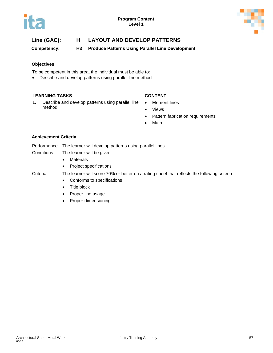

**Competency: H3 Produce Patterns Using Parallel Line Development**

### **Objectives**

To be competent in this area, the individual must be able to:

• Describe and develop patterns using parallel line method

### **LEARNING TASKS CONTENT**

- 1. Describe and develop patterns using parallel line method
- Element lines
- Views
- Pattern fabrication requirements
- Math

### **Achievement Criteria**

- Performance The learner will develop patterns using parallel lines.
- Conditions The learner will be given:
	- Materials
	- Project specifications

- Criteria The learner will score 70% or better on a rating sheet that reflects the following criteria:
	- Conforms to specifications
	- Title block
	- Proper line usage
	- Proper dimensioning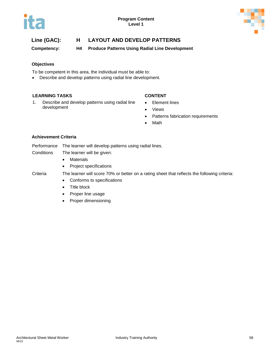

**Competency: H4 Produce Patterns Using Radial Line Development**

#### **Objectives**

To be competent in this area, the individual must be able to:

• Describe and develop patterns using radial line development.

#### **LEARNING TASKS CONTENT**

- 1. Describe and develop patterns using radial line development
- Element lines
- Views
- Patterns fabrication requirements
- Math

### **Achievement Criteria**

- Performance The learner will develop patterns using radial lines.
- Conditions The learner will be given:
	- Materials
	- Project specifications

- Criteria The learner will score 70% or better on a rating sheet that reflects the following criteria:
	- Conforms to specifications
	- Title block
	- Proper line usage
	- Proper dimensioning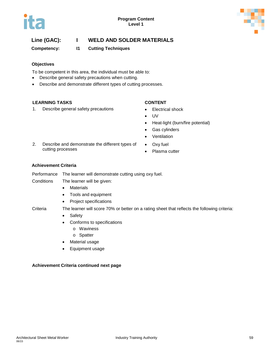



## **Line (GAC): I WELD AND SOLDER MATERIALS**

**Competency: I1 Cutting Techniques**

### **Objectives**

To be competent in this area, the individual must be able to:

- Describe general safety precautions when cutting.
- Describe and demonstrate different types of cutting processes.

#### **LEARNING TASKS CONTENT**

1. Describe general safety precautions • Electrical shock

- 
- UV
- Heat-light (burn/fire potential)
- Gas cylinders
- **Ventilation**
- Oxy fuel
	- Plasma cutter

#### **Achievement Criteria**

cutting processes

Performance The learner will demonstrate cutting using oxy fuel. Conditions The learner will be given:

- Materials
- Tools and equipment

2. Describe and demonstrate the different types of

• Project specifications

Criteria The learner will score 70% or better on a rating sheet that reflects the following criteria:

- Safety
- Conforms to specifications
	- o Waviness
	- o Spatter
- Material usage
- Equipment usage

#### **Achievement Criteria continued next page**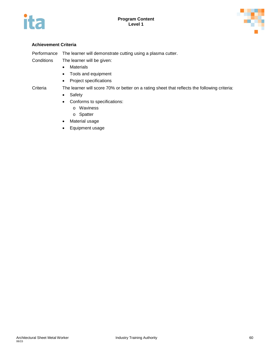



#### **Achievement Criteria**

Performance The learner will demonstrate cutting using a plasma cutter.

Conditions The learner will be given:

- Materials
- Tools and equipment
- Project specifications

Criteria The learner will score 70% or better on a rating sheet that reflects the following criteria:

- Safety
- Conforms to specifications:
	- o Waviness
	- o Spatter
- Material usage
- Equipment usage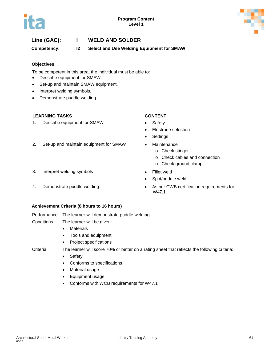

# **Line (GAC): I WELD AND SOLDER**

**Competency: I2 Select and Use Welding Equipment for SMAW**

#### **Objectives**

To be competent in this area, the individual must be able to:

- Describe equipment for SMAW.
- Set-up and maintain SMAW equipment.
- Interpret welding symbols.
- Demonstrate puddle welding.

### **LEARNING TASKS CONTENT**

1. Describe equipment for SMAW • Safety

- 
- Electrode selection
- **Settings**
- 2. Set-up and maintain equipment for SMAW Maintenance
	- o Check stinger
	- o Check cables and connection
	- o Check ground clamp
- 3. Interpret welding symbols Fillet weld
- 
- 
- Spot/puddle weld
- 4. Demonstrate puddle welding  **As per CWB certification requirements for** W47.1

#### **Achievement Criteria (8 hours to 16 hours)**

Performance The learner will demonstrate puddle welding.

Conditions The learner will be given:

- Materials
- Tools and equipment
- Project specifications

- Criteria The learner will score 70% or better on a rating sheet that reflects the following criteria:
	- Safety
	- Conforms to specifications
	- Material usage
	- Equipment usage
	- Conforms with WCB requirements for W47.1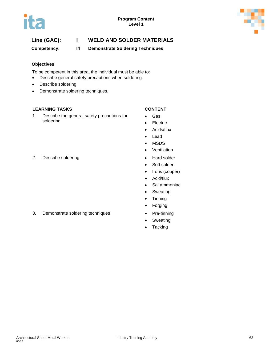



# **Line (GAC): I WELD AND SOLDER MATERIALS**

**Competency: I4 Demonstrate Soldering Techniques**

#### **Objectives**

To be competent in this area, the individual must be able to:

- Describe general safety precautions when soldering.
- Describe soldering.
- Demonstrate soldering techniques.

### **LEARNING TASKS CONTENT**

1. Describe the general safety precautions for soldering

- Gas
- Electric
- Acids/flux
- Lead
- MSDS
- Ventilation
- 
- Soft solder
- Irons (copper)
- Acid/flux
- Sal ammoniac
- Sweating
- Tinning
- Forging
- 3. Demonstrate soldering techniques Pre-tinning
	- Sweating
	- Tacking

2. Describe soldering example of the Hard solder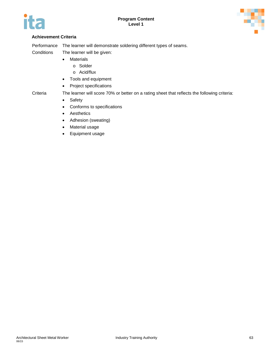



### **Achievement Criteria**

Performance The learner will demonstrate soldering different types of seams.

Conditions The learner will be given:

- Materials
	- o Solder
	- o Acid/flux
- Tools and equipment
- Project specifications

Criteria The learner will score 70% or better on a rating sheet that reflects the following criteria:

- Safety
- Conforms to specifications
- Aesthetics
- Adhesion (sweating)
- Material usage
- Equipment usage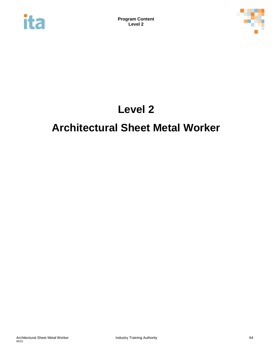



# **Level 2**

# **Architectural Sheet Metal Worker**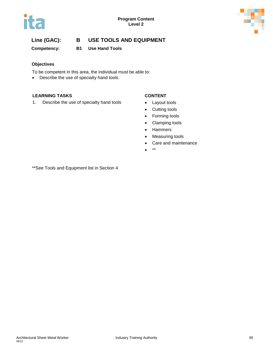



**Competency: B1 Use Hand Tools**

### **Objectives**

To be competent in this area, the individual must be able to:

• Describe the use of specialty hand tools.

### **LEARNING TASKS CONTENT**

1. Describe the use of specialty hand tools • Layout tools

- 
- Cutting tools
- Forming tools
- Clamping tools
- Hammers
- Measuring tools
- Care and maintenance
- \*\*

\*\*See Tools and Equipment list in Section 4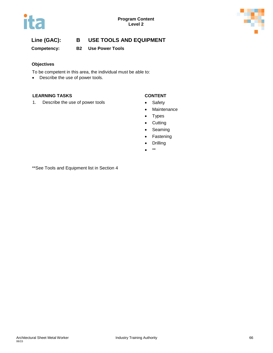



**Competency: B2 Use Power Tools**

### **Objectives**

To be competent in this area, the individual must be able to:

• Describe the use of power tools.

#### **LEARNING TASKS CONTENT**

1. Describe the use of power tools **•** Safety

- 
- Maintenance
- Types
- Cutting
- Seaming
- Fastening
- Drilling
- \*\*

\*\*See Tools and Equipment list in Section 4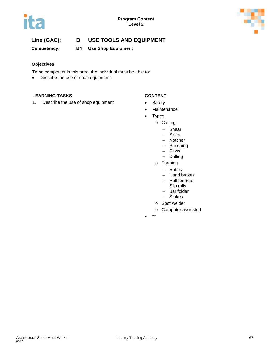



**Competency: B4 Use Shop Equipment**

### **Objectives**

To be competent in this area, the individual must be able to:

• Describe the use of shop equipment.

### **LEARNING TASKS CONTENT**

1. Describe the use of shop equipment • Safety

- 
- Maintenance
- Types
	- o Cutting
		- − Shear
		- − Slitter
		- − Notcher
		- − Punching
		- − Saws
		- − Drilling
		- o Forming
			- − Rotary
			- − Hand brakes
			- − Roll formers
			- − Slip rolls
			- − Bar folder
			- − Stakes
		- o Spot welder
		- o Computer assissted
- \*\*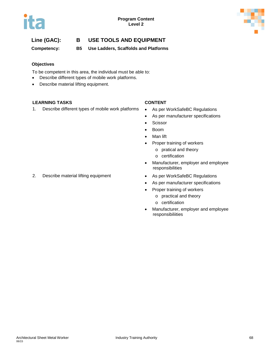

**Competency: B5 Use Ladders, Scaffolds and Platforms**

### **Objectives**

To be competent in this area, the individual must be able to:

- Describe different types of mobile work platforms.
- Describe material lifting equipment.

### **LEARNING TASKS CONTENT**

1. Describe different types of mobile work platforms • As per WorkSafeBC Regulations

- 
- As per manufacturer specifications
- Scissor
- Boom
- Man lift
- Proper training of workers
	- o pratical and theory
	- o certification
- Manufacturer, employer and employee responsibilities
- 
- As per manufacturer specifications
- Proper training of workers
	- o practical and theory
	- o certification
- Manufacturer, employer and employee responsibiliities

2. Describe material lifting equipment • As per WorkSafeBC Regulations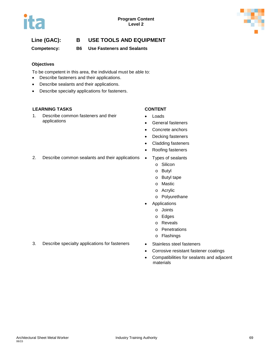

# **Line (GAC): B USE TOOLS AND EQUIPMENT**

**Competency: B6 Use Fasteners and Sealants**

### **Objectives**

To be competent in this area, the individual must be able to:

- Describe fasteners and their applications.
- Describe sealants and their applications.
- Describe specialty applications for fasteners.

### **LEARNING TASKS CONTENT**

1. Describe common fasteners and their applications

- Loads
- General fasteners
- Concrete anchors
- Decking fasteners
- Cladding fasteners
- Roofing fasteners
- 2. Describe common sealants and their applications Types of sealants
	- o Silicon
	- o Butyl
	- o Butyl tape
	- o Mastic
	- o Acrylic
	- o Polyurethane
	- **Applications** 
		- o Joints
		- o Edges
		- o Reveals
		- o Penetrations
		- o Flashings
	-
	- Corrosive resistant fastener coatings
	- Compatibilities for sealants and adjacent materials
- 3. Describe specialty applications for fasteners Stainless steel fasteners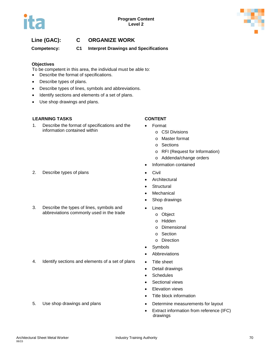



**Competency: C1 Interpret Drawings and Specifications**

### **Objectives**

To be competent in this area, the individual must be able to:

- Describe the format of specifications.
- Describe types of plans.
- Describe types of lines, symbols and abbreviations.
- Identify sections and elements of a set of plans.
- Use shop drawings and plans.

### **LEARNING TASKS CONTENT**

1. Describe the format of specifications and the information contained within

- 2. Describe types of plans **•** Civil
- 3. Describe the types of lines, symbols and abbreviations commonly used in the trade

4. Identify sections and elements of a set of plans • Title sheet

- Format
	- o CSI Divisions
	- o Master format
	- o Sections
	- o RFI (Request for Information)
	- o Addenda/change orders
- Information contained
- 
- Architectural
- Structural
- **Mechanical**
- Shop drawings
- **Lines** 
	- o Object
	- o Hidden
	- o Dimensional
	- o Section
	- o Direction
- **Symbols**
- **Abbreviations**
- 
- Detail drawings
- Schedules
- Sectional views
- Elevation views
- Title block information
- 5. Use shop drawings and plans **•** Determine measurements for layout
	- Extract information from reference (IFC) drawings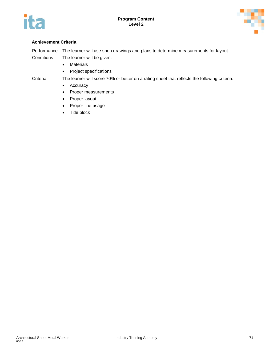



### **Achievement Criteria**

Performance The learner will use shop drawings and plans to determine measurements for layout.

- Conditions The learner will be given:
	- Materials
	- Project specifications
- 
- Criteria The learner will score 70% or better on a rating sheet that reflects the following criteria:
	- Accuracy
	- Proper measurements
	- Proper layout
	- Proper line usage
	- Title block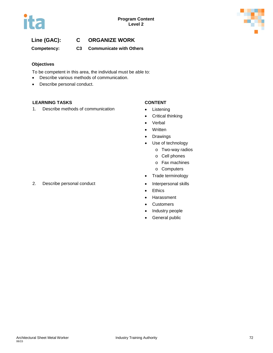

**Competency: C3 Communicate with Others**

### **Objectives**

To be competent in this area, the individual must be able to:

- Describe various methods of communication.
- Describe personal conduct.

### **LEARNING TASKS CONTENT**

1. Describe methods of communication • Listening

- 
- Critical thinking
- Verbal
- Written
- Drawings
- Use of technology
	- o Two-way radios
	- o Cell phones
	- o Fax machines
	- o Computers
- Trade terminology
- 
- Ethics
- Harassment
- Customers
- Industry people
- General public
- 2. Describe personal conduct **•** Interpersonal skills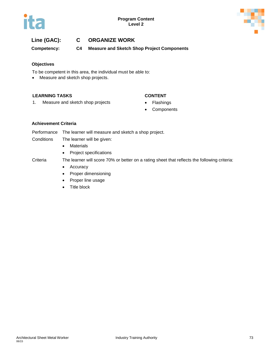

**Competency: C4 Measure and Sketch Shop Project Components**

### **Objectives**

To be competent in this area, the individual must be able to:

• Measure and sketch shop projects.

### **LEARNING TASKS CONTENT**

- 1. Measure and sketch shop projects **•** Flashings
	- Components

### **Achievement Criteria**

Performance The learner will measure and sketch a shop project.

- Conditions The learner will be given:
	- Materials
	- Project specifications

Criteria The learner will score 70% or better on a rating sheet that reflects the following criteria:

- Accuracy
- Proper dimensioning
- Proper line usage
- Title block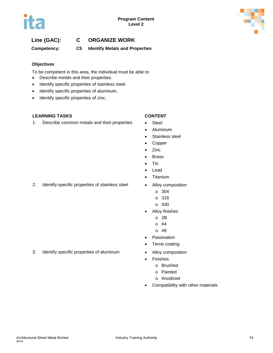

**Competency: C5 Identify Metals and Properties**

### **Objectives**

To be competent in this area, the individual must be able to:

- Describe metals and their properties.
- Identify specific properties of stainless steel.
- Identify specific properties of aluminum.
- Identify specific properties of zinc.

### **LEARNING TASKS CONTENT**

1. Describe common metals and their properties • Steel

- 
- Aluminum
- Stainless steel
- Copper
- Zinc
- Brass
- Tin
- Lead
- Titanium
- 2. Identify specific properties of stainless steel Alloy composition
	- o 304
	- o 316
	- o 430
	- Alloy finishes
		- o 2B
		- o #4
		- o #8
	- Passivation
	- Terne coating
	-
	- **Finishes** 
		- o Brushed
		- o Painted
		- o Anodized
	- Compatibility with other materials
- 
- 3. Identify specific properties of aluminum Alloy composition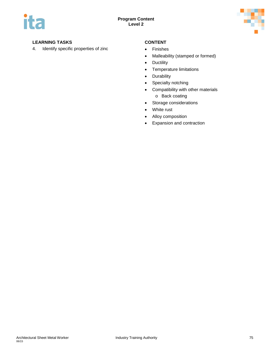

### **LEARNING TASKS CONTENT**

4. Identify specific properties of zinc **•** Finishes

- 
- Malleability (stamped or formed)
- Ductility
- Temperature limitations
- Durability
- Specialty notching
- Compatibility with other materials o Back coating
- Storage considerations
- White rust
- Alloy composition
- Expansion and contraction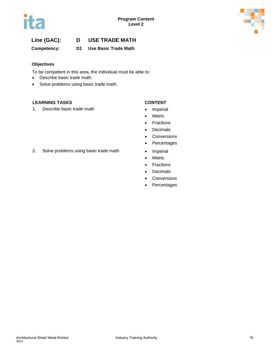

**Competency: D1 Use Basic Trade Math**

### **Objectives**

To be competent in this area, the individual must be able to:

- Describe basic trade math.
- Solve problems using basic trade math.

### **LEARNING TASKS CONTENT**

1. Describe basic trade math **•** Imperial

- 
- Metric
- Fractions
- Decimals
- Conversions
- Percentages
- 
- Metric
- Fractions
- Decimals
- Conversions
- Percentages
- 2. Solve problems using basic trade math Imperial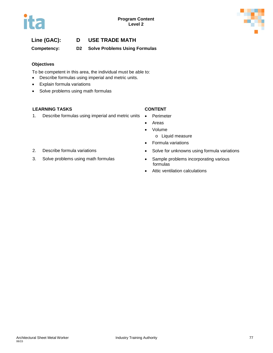

**Competency: D2 Solve Problems Using Formulas** 

### **Objectives**

To be competent in this area, the individual must be able to:

- Describe formulas using imperial and metric units.
- Explain formula variations
- Solve problems using math formulas

### **LEARNING TASKS CONTENT**

1. Describe formulas using imperial and metric units • Perimeter

- 
- Areas
- Volume
	- o Liquid measure
- Formula variations
- 2. Describe formula variations **•** Solve for unknowns using formula variations
- 3. Solve problems using math formulas Sample problems incorporating various formulas
	- Attic ventilation calculations
- 
-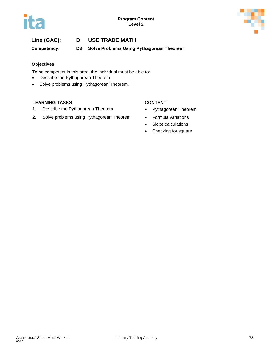

**Competency: D3 Solve Problems Using Pythagorean Theorem** 

### **Objectives**

To be competent in this area, the individual must be able to:

- Describe the Pythagorean Theorem.
- Solve problems using Pythagorean Theorem.

### **LEARNING TASKS CONTENT**

- 1. Describe the Pythagorean Theorem **•** Pythagorean Theorem
- 2. Solve problems using Pythagorean Theorem Formula variations

- 
- 
- Slope calculations
- Checking for square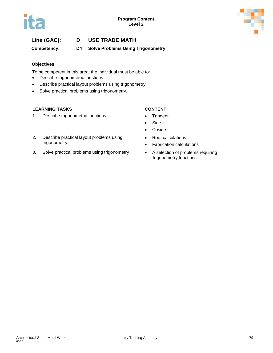

**Competency: D4 Solve Problems Using Trigonometry** 

### **Objectives**

To be competent in this area, the individual must be able to:

- Describe trigonometric functions.
- Describe practical layout problems using trigonometry.
- Solve practical problems using trigonometry.

### **LEARNING TASKS CONTENT**

1. Describe trigonometric functions **•** Tangent

- 
- Sine
- Cosine
- Roof calculations
- Fabrication calculations
- trigonometry functions
- 2. Describe practical layout problems using trigonometry
- 3. Solve practical problems using trigonometry A selection of problems requiring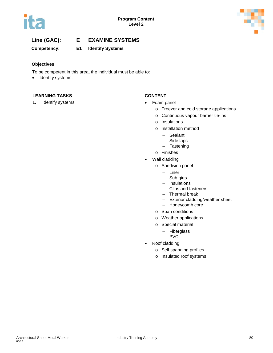

**Competency: E1 Identify Systems** 

### **Objectives**

To be competent in this area, the individual must be able to:

• Identify systems.

### **LEARNING TASKS CONTENT**

1. Identify systems **and the systems •** Foam panel

- - o Freezer and cold storage applications
	- o Continuous vapour barrier tie-ins
	- o Insulations
	- o Installation method
		- − Sealant
		- − Side laps
		- − Fastening
	- o Finishes
- Wall cladding
	- o Sandwich panel
		- − Liner
		- − Sub girts
		- − Insulations
		- − Clips and fasteners
		- − Thermal break
		- − Exterior cladding/weather sheet
		- − Honeycomb core
	- o Span conditions
	- o Weather applications
	- o Special material
		- − Fiberglass
		- − PVC
- Roof cladding
	- o Self spanning profiles
	- o Insulated roof systems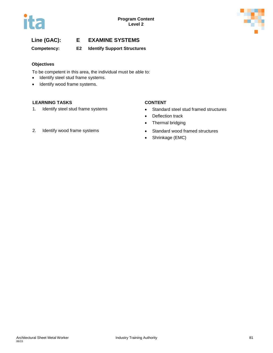

**Competency: E2 Identify Support Structures**

### **Objectives**

To be competent in this area, the individual must be able to:

- Identify steel stud frame systems.
- Identify wood frame systems.

### **LEARNING TASKS CONTENT**

- 1. Identify steel stud frame systems Standard steel stud framed structures
	- Deflection track
	- Thermal bridging
- 2. Identify wood frame systems **•** Standard wood framed structures
	- Shrinkage (EMC)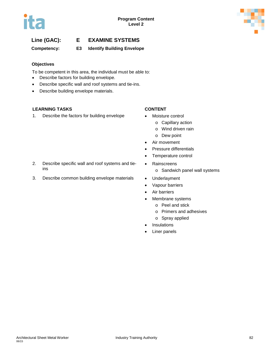

### **Competency: E3 Identify Building Envelope**

### **Objectives**

To be competent in this area, the individual must be able to:

- Describe factors for building envelope.
- Describe specific wall and roof systems and tie-ins.
- Describe building envelope materials.

### **LEARNING TASKS CONTENT**

ins

1. Describe the factors for building envelope • Moisture control

2. Describe specific wall and roof systems and tie-

- - o Capillary action
		- o Wind driven rain
	- o Dew point
- Air movement
- Pressure differentials
- Temperature control
- Rainscreens
	- o Sandwich panel wall systems
- 3. Describe common building envelope materials Underlayment
	- Vapour barriers
	- Air barriers
	- Membrane systems
		- o Peel and stick
		- o Primers and adhesives
		- o Spray applied
	- **Insulations**
	- Liner panels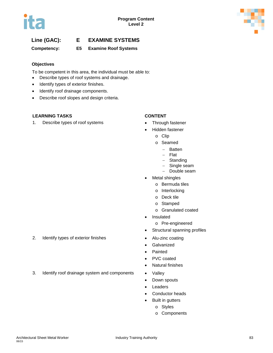

**Competency: E5 Examine Roof Systems** 

### **Objectives**

To be competent in this area, the individual must be able to:

- Describe types of roof systems and drainage.
- Identify types of exterior finishes.
- Identify roof drainage components.
- Describe roof slopes and design criteria.

### **LEARNING TASKS CONTENT**

1. Describe types of roof systems • Through fastener

- 
- Hidden fastener
	- o Clip
	- o Seamed
		- − Batten
		- − Flat
		- − Standing
		- − Single seam
		- − Double seam
- Metal shingles
	- o Bermuda tiles
	- o Interlocking
	- o Deck tile
	- o Stamped
	- o Granulated coated
- Insulated
	- o Pre-engineered
- Structural spanning profiles
- 2. Identify types of exterior finishes Alu-zinc coating
	- **Galvanized**
	- Painted
	- PVC coated
	- Natural finishes
- 3. Identify roof drainage system and components Valley
	- Down spouts
	- **Leaders**
	- Conductor heads
	- Built in gutters
		- o Styles
		- o Components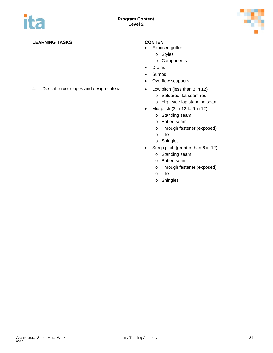

### **LEARNING TASKS CONTENT**

- Exposed gutter
	- o Styles
		- o Components
- Drains
- Sumps
- Overflow scuppers
- 4. Describe roof slopes and design criteria Low pitch (less than 3 in 12)
	- o Soldered flat seam roof
	- o High side lap standing seam
	- Mid-pitch  $(3 \text{ in } 12 \text{ to } 6 \text{ in } 12)$ 
		- o Standing seam
		- o Batten seam
		- o Through fastener (exposed)
		- o Tile
		- o Shingles
	- Steep pitch (greater than 6 in 12)
		- o Standing seam
		- o Batten seam
		- o Through fastener (exposed)
		- o Tile
		- o Shingles

Architectural Sheet Metal Worker **Industry Training Authority Industry Training Authority 1948** 06/15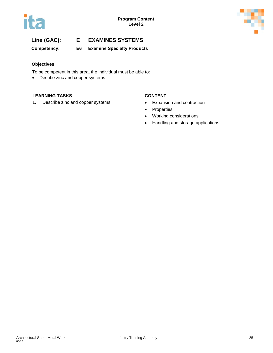



**Competency: E6 Examine Specialty Products** 

### **Objectives**

To be competent in this area, the individual must be able to:

• Decribe zinc and copper systems

### **LEARNING TASKS CONTENT**

1. Describe zinc and copper systems • Expansion and contraction

- 
- Properties
- Working considerations
- Handling and storage applications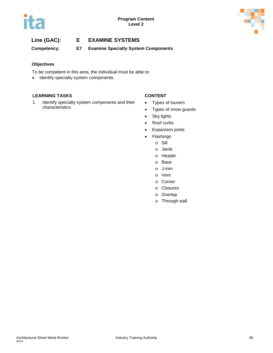

**Competency: E7 Examine Specialty System Components** 

### **Objectives**

To be competent in this area, the individual must be able to:

• Identify specialty system components.

### **LEARNING TASKS CONTENT**

1. Identify specialty system components and their characteristics

- Types of louvers
- Types of snow guards
- Sky lights
- Roof curbs
- Expansion joints
- Flashings
	- o Sill
	- o Jamb
	- o Header
	- o Base
	- o J-trim
	- o Vent
	- o Corner
	- o Closures
	- o Overlap
	- o Through wall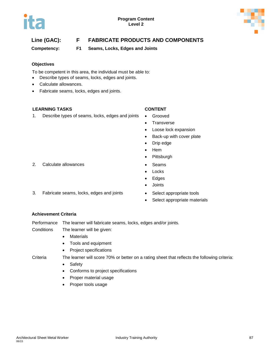

# **Line (GAC): F FABRICATE PRODUCTS AND COMPONENTS**

**Competency: F1 Seams, Locks, Edges and Joints**

### **Objectives**

To be competent in this area, the individual must be able to:

- Describe types of seams, locks, edges and joints.
- Calculate allowances.
- Fabricate seams, locks, edges and joints.

### **LEARNING TASKS CONTENT**

1. Describe types of seams, locks, edges and joints • Grooved

- 
- Transverse
- Loose lock expansion
- Back-up with cover plate
- Drip edge
- Hem
- Pittsburgh
- 2. Calculate allowances **•** Seams
	- **Locks**
	- Edges
	- Joints
	-
	- Select appropriate materials

### **Achievement Criteria**

Performance The learner will fabricate seams, locks, edges and/or joints.

Conditions The learner will be given:

- Materials
- Tools and equipment
- Project specifications

Criteria The learner will score 70% or better on a rating sheet that reflects the following criteria:

- Safety
- Conforms to project specifications
- Proper material usage
- Proper tools usage
- 
- 3. Fabricate seams, locks, edges and joints Select appropriate tools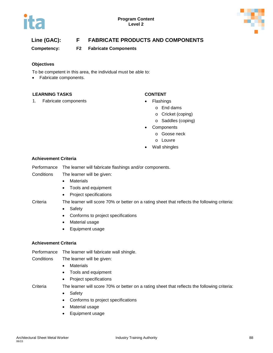



# **Line (GAC): F FABRICATE PRODUCTS AND COMPONENTS**

**Competency: F2 Fabricate Components**

### **Objectives**

To be competent in this area, the individual must be able to:

• Fabricate components.

### **LEARNING TASKS CONTENT**

1. Fabricate components **•** Flashings

- - o End dams
		- o Cricket (coping)
	- o Saddles (coping)
- Components
	- o Goose neck
	- o Louvre
- Wall shingles

### **Achievement Criteria**

Performance The learner will fabricate flashings and/or components.

Conditions The learner will be given:

- Materials
- Tools and equipment
- Project specifications

Criteria The learner will score 70% or better on a rating sheet that reflects the following criteria:

- Safety
- Conforms to project specifications
- Material usage
- Equipment usage

### **Achievement Criteria**

Performance The learner will fabricate wall shingle.

Conditions The learner will be given:

- Materials
- Tools and equipment
- Project specifications

Criteria The learner will score 70% or better on a rating sheet that reflects the following criteria:

- Safety
- Conforms to project specifications
- Material usage
- Equipment usage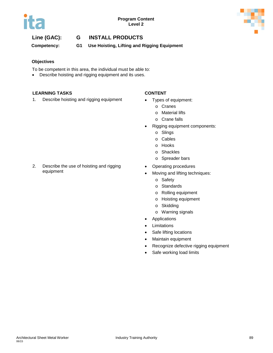



**Competency: G1 Use Hoisting, Lifting and Rigging Equipment**

### **Objectives**

To be competent in this area, the individual must be able to:

• Describe hoisting and rigging equipment and its uses.

### **LEARNING TASKS CONTENT**

1. Describe hoisting and rigging equipment • Types of equipment:

- - o Cranes
	- o Material lifts
	- o Crane falls
- Rigging equipment components:
	- o Slings
	- o Cables
	- o Hooks
	- o Shackles
	- o Spreader bars
- Operating procedures
- Moving and lifting techniques:
	- o Safety
	- o Standards
	- o Rolling equipment
	- o Hoisting equipment
	- o Skidding
		- o Warning signals
- Applications
- Limitations
- Safe lifting locations
- Maintain equipment
- Recognize defective rigging equipment
- Safe working load limits

2. Describe the use of hoisting and rigging equipment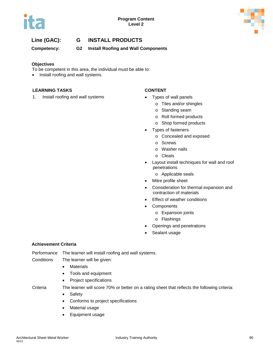

**Competency: G2 Install Roofing and Wall Components**

### **Objectives**

To be competent in this area, the individual must be able to:

• Install roofing and wall systems.

### **LEARNING TASKS CONTENT**

1. Install roofing and wall systems • Types of wall panels

- - o Tiles and/or shingles
	- o Standing seam
	- o Roll formed products
	- o Shop formed products
- Types of fasteners
	- o Concealed and exposed
	- o Screws
	- o Washer nails
	- o Cleats
- Layout install techniques for wall and roof penetrations
	- o Applicable seals
- Mitre profile sheet
- Consideration for thermal expansion and contraction of materials
- Effect of weather conditions
- Components
	- o Expansion joints
	- o Flashings
- Openings and penetrations
- Sealant usage

### **Achievement Criteria**

Performance The learner will install roofing and wall systems.

### Conditions The learner will be given:

- Materials
- Tools and equipment
- Project specifications

- Criteria The learner will score 70% or better on a rating sheet that reflects the following criteria:
	- Safety
	- Conforms to project specifications
	- Material usage
	- Equipment usage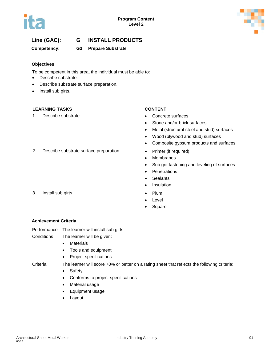

### **Competency: G3 Prepare Substrate**

### **Objectives**

To be competent in this area, the individual must be able to:

- Describe substrate.
- Describe substrate surface preparation.
- Install sub girts.

### **LEARNING TASKS CONTENT**

1. Describe substrate **•** Concrete surfaces

- 
- Stone and/or brick surfaces
- Metal (structural steel and stud) surfaces
- Wood (plywood and stud) surfaces
- Composite gypsum products and surfaces
- 2. Describe substrate surface preparation Primer (if required)
	- Membranes
	- Sub grit fastening and leveling of surfaces
	- **Penetrations**
	- Sealants
	- Insulation
- 3. Install sub girts Plum
	- **Level**
	- **Square**

### **Achievement Criteria**

Performance The learner will install sub girts.

- Conditions The learner will be given:
	- Materials
	- Tools and equipment
	- Project specifications

- Criteria The learner will score 70% or better on a rating sheet that reflects the following criteria:
	- Safety
	- Conforms to project specifications
	- Material usage
	- Equipment usage
	- Layout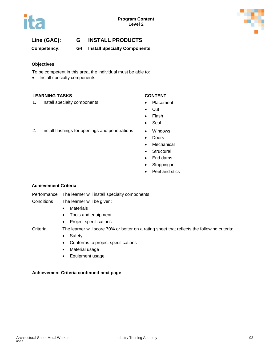



**Competency: G4 Install Specialty Components**

### **Objectives**

To be competent in this area, the individual must be able to:

• Install specialty components.

### **LEARNING TASKS CONTENT**

1. Install specialty components **•** Placement

- 
- Cut
- Flash
- Seal
- 2. Install flashings for openings and penetrations Windows
	- Doors
	- Mechanical
	- Structural
	- End dams
	- Stripping in
	- Peel and stick

### **Achievement Criteria**

Performance The learner will install specialty components.

Conditions The learner will be given:

- Materials
- Tools and equipment
- Project specifications

- Criteria The learner will score 70% or better on a rating sheet that reflects the following criteria:
	- Safety
	- Conforms to project specifications
	- Material usage
	- Equipment usage

### **Achievement Criteria continued next page**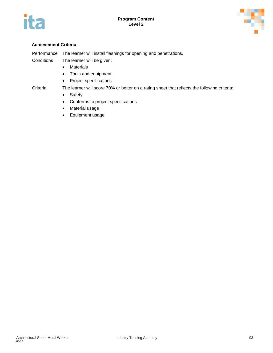



### **Achievement Criteria**

Performance The learner will install flashings for opening and penetrations.

Conditions The learner will be given:

- Materials
- Tools and equipment
- Project specifications

Criteria The learner will score 70% or better on a rating sheet that reflects the following criteria:

- Safety
- Conforms to project specifications
- Material usage
- Equipment usage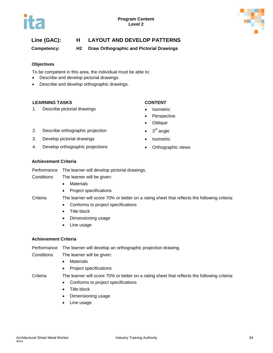

**Competency: H2 Draw Orthographic and Pictorial Drawings**

### **Objectives**

To be competent in this area, the individual must be able to:

- Describe and develop pictorial drawings.
- Describe and develop orthographic drawings.

### **LEARNING TASKS CONTENT**

1. Describe pictorial drawings • Isometric

- 
- **Perspective**
- Oblique
- 2. Describe orthographic projection  $\bullet$  3<sup>rd</sup> angle
- 3. Develop pictorial drawings Isometric
- 4. Develop orthographic projections **•** Orthographic views
- 
- -

### **Achievement Criteria**

Performance The learner will develop pictorial drawings.

Conditions The learner will be given:

- Materials
- Project specifications

### Criteria The learner will score 70% or better on a rating sheet that reflects the following criteria:

- Conforms to project specifications
- Title block
- Dimensioning usage
- Line usage

### **Achievement Criteria**

Performance The learner will develop an orthographic projection drawing.

- Conditions The learner will be given:
	- Materials
	- Project specifications

Criteria The learner will score 70% or better on a rating sheet that reflects the following criteria:

- Conforms to project specifications
- Title block
- Dimensioning usage
- Line usage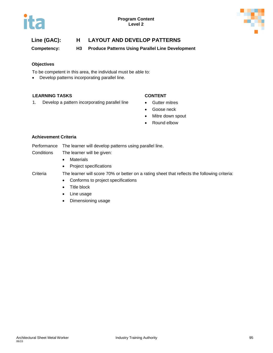



**Competency: H3 Produce Patterns Using Parallel Line Development**

### **Objectives**

To be competent in this area, the individual must be able to:

• Develop patterns incorporating parallel line.

### **LEARNING TASKS CONTENT**

1. Develop a pattern incorporating parallel line • Gutter mitres

- 
- Goose neck
- Mitre down spout
- Round elbow

### **Achievement Criteria**

- Performance The learner will develop patterns using parallel line. Conditions The learner will be given:
	- Materials
	- Project specifications
- 
- Criteria The learner will score 70% or better on a rating sheet that reflects the following criteria:
	- Conforms to project specifications
	- Title block
	- Line usage
	- Dimensioning usage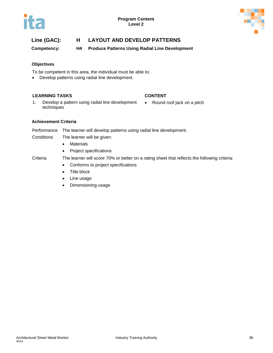

**Competency: H4 Produce Patterns Using Radial Line Development**

### **Objectives**

To be competent in this area, the individual must be able to:

• Develop patterns using radial line development.

### **LEARNING TASKS CONTENT**

• Round roof jack on a pitch

1. Develop a pattern using radial line development techniques

### **Achievement Criteria**

Performance The learner will develop patterns using radial line development.

- Conditions The learner will be given:
	- Materials
	- Project specifications

- Criteria The learner will score 70% or better on a rating sheet that reflects the following criteria:
	- Conforms to project specifications
	- Title block
	- Line usage
	- Dimensioning usage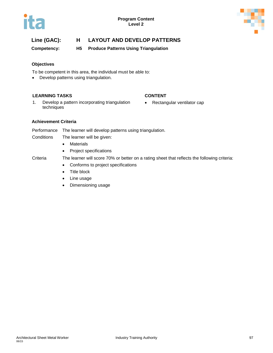

**Competency: H5 Produce Patterns Using Triangulation**

### **Objectives**

To be competent in this area, the individual must be able to:

• Develop patterns using triangulation.

### **LEARNING TASKS CONTENT**

- 1. Develop a pattern incorporating triangulation techniques
- Rectangular ventilator cap

### **Achievement Criteria**

Performance The learner will develop patterns using triangulation.

- Conditions The learner will be given:
	- Materials
	- Project specifications

- Criteria The learner will score 70% or better on a rating sheet that reflects the following criteria:
	- Conforms to project specifications
	- Title block
	- Line usage
	- Dimensioning usage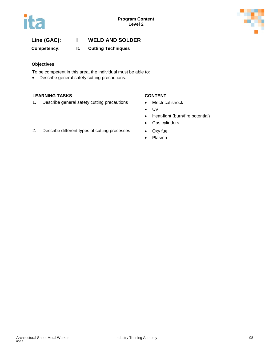



# **Line (GAC): I WELD AND SOLDER**

**Competency: I1 Cutting Techniques**

### **Objectives**

To be competent in this area, the individual must be able to:

• Describe general safety cutting precautions.

### **LEARNING TASKS CONTENT**

1. Describe general safety cutting precautions • Electrical shock

- 
- UV
- Heat-light (burn/fire potential)
- Gas cylinders
- 2. Describe different types of cutting processes Oxy fuel
	- Plasma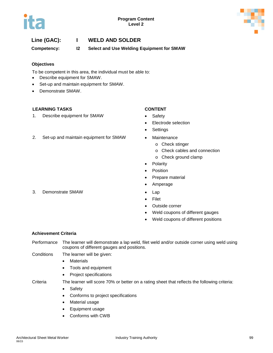

# **Line (GAC): I WELD AND SOLDER**

**Competency: I2 Select and Use Welding Equipment for SMAW**

### **Objectives**

To be competent in this area, the individual must be able to:

- Describe equipment for SMAW.
- Set-up and maintain equipment for SMAW.
- Demonstrate SMAW.

### **LEARNING TASKS CONTENT**

1. Describe equipment for SMAW • Safety

- 
- Electrode selection
- **Settings**
- 2. Set-up and maintain equipment for SMAW Maintenance
	- o Check stinger
	- o Check cables and connection
	- o Check ground clamp
	- Polarity
	- **Position**
	- Prepare material
	- Amperage
	-
	- Filet
	- Outside corner
	- Weld coupons of different gauges
	- Weld coupons of different positions

### **Achievement Criteria**

Performance The learner will demonstrate a lap weld, filet weld and/or outside corner using weld using coupons of different gauges and positions.

Conditions The learner will be given:

- Materials
- Tools and equipment
- Project specifications

Criteria The learner will score 70% or better on a rating sheet that reflects the following criteria:

- Safety
- Conforms to project specifications
- Material usage
- Equipment usage
- Conforms with CWB

3. Demonstrate SMAW • Lap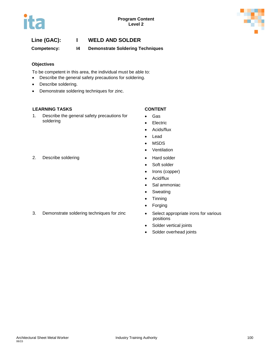



# **Line (GAC): I WELD AND SOLDER**

**Competency: I4 Demonstrate Soldering Techniques**

### **Objectives**

To be competent in this area, the individual must be able to:

- Describe the general safety precautions for soldering.
- Describe soldering.
- Demonstrate soldering techniques for zinc.

### **LEARNING TASKS CONTENT**

1. Describe the general safety precautions for soldering

- Gas
- **Electric**
- Acids/flux
- Lead
- MSDS
- Ventilation
- 
- Soft solder
- Irons (copper)
- Acid/flux
- Sal ammoniac
- Sweating
- Tinning
- Forging
- 3. Demonstrate soldering techniques for zinc Select appropriate irons for various positions
	- Solder vertical joints
	- Solder overhead joints

2. Describe soldering example of the Hard solder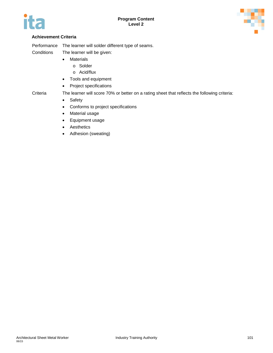



### **Achievement Criteria**

Performance The learner will solder different type of seams.

Conditions The learner will be given:

- Materials
	- o Solder
	- o Acid/flux
- Tools and equipment
- Project specifications

Criteria The learner will score 70% or better on a rating sheet that reflects the following criteria:

- Safety
- Conforms to project specifications
- Material usage
- Equipment usage
- Aesthetics
- Adhesion (sweating)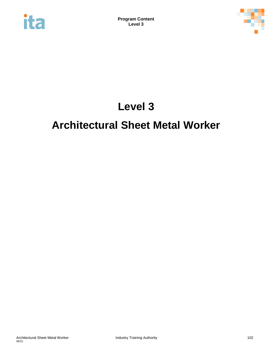



# **Level 3**

# **Architectural Sheet Metal Worker**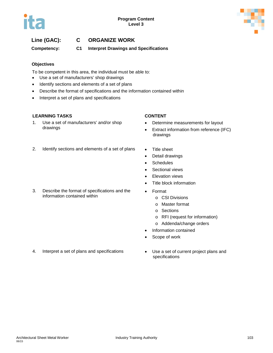



**Competency: C1 Interpret Drawings and Specifications**

### **Objectives**

To be competent in this area, the individual must be able to:

- Use a set of manufacturers' shop drawings
- Identify sections and elements of a set of plans
- Describe the format of specifications and the information contained within
- Interpret a set of plans and specifications

### **LEARNING TASKS CONTENT**

1. Use a set of manufacturers' and/or shop drawings

- Determine measurements for layout
- Extract information from reference (IFC) drawings
- 2. Identify sections and elements of a set of plans Title sheet

3. Describe the format of specifications and the information contained within

- 
- Detail drawings
- Schedules
- Sectional views
- **Elevation views**
- Title block information
- Format
	- o CSI Divisions
	- o Master format
	- o Sections
	- o RFI (request for information)
	- o Addenda/change orders
- Information contained
- Scope of work
- 4. Interpret a set of plans and specifications Use a set of current project plans and
- specifications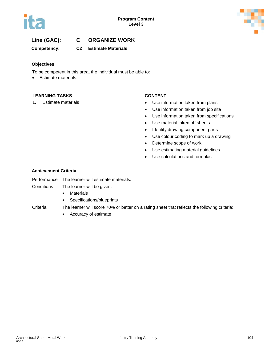

**Competency: C2 Estimate Materials**

### **Objectives**

To be competent in this area, the individual must be able to:

• Estimate materials.

### **LEARNING TASKS CONTENT**

- 1. Estimate materials **Example 2018 1.** Subsetting the Use information taken from plans
	- Use information taken from job site
	- Use information taken from specifications
	- Use material taken off sheets
	- Identify drawing component parts
	- Use colour coding to mark up a drawing
	- Determine scope of work
	- Use estimating material guidelines
	- Use calculations and formulas

### **Achievement Criteria**

- Performance The learner will estimate materials.
- Conditions The learner will be given:
	- Materials
	- Specifications/blueprints

### Criteria The learner will score 70% or better on a rating sheet that reflects the following criteria:

• Accuracy of estimate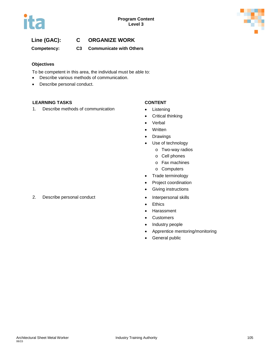

# **Line (GAC): C ORGANIZE WORK**

**Competency: C3 Communicate with Others**

### **Objectives**

To be competent in this area, the individual must be able to:

- Describe various methods of communication.
- Describe personal conduct.

### **LEARNING TASKS CONTENT**

1. Describe methods of communication • Listening

- 
- Critical thinking
- Verbal
- Written
- Drawings
- Use of technology
	- o Two-way radios
	- o Cell phones
	- o Fax machines
	- o Computers
- Trade terminology
- Project coordination
- Giving instructions
- 
- Ethics
- Harassment
- Customers
- Industry people
- Apprentice mentoring/monitoring
- General public

### 2. Describe personal conduct **•** Interpersonal skills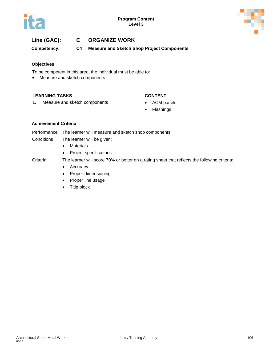

# **Line (GAC): C ORGANIZE WORK**

**Competency: C4 Measure and Sketch Shop Project Components**

### **Objectives**

To be competent in this area, the individual must be able to:

• Measure and sketch components.

### **LEARNING TASKS CONTENT**

### 1. Measure and sketch components • ACM panels

- 
- Flashings

### **Achievement Criteria**

Performance The learner will measure and sketch shop components.

- Conditions The learner will be given:
	- Materials
	- Project specifications

- Accuracy
- Proper dimensioning
- Proper line usage
- Title block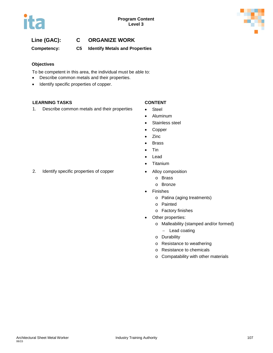

# **Line (GAC): C ORGANIZE WORK**

**Competency: C5 Identify Metals and Properties**

### **Objectives**

To be competent in this area, the individual must be able to:

- Describe common metals and their properties.
- Identify specific properties of copper.

### **LEARNING TASKS CONTENT**

1. Describe common metals and their properties • Steel

- 
- Aluminum
- Stainless steel
- Copper
- Zinc
- Brass
- Tin
- Lead
- Titanium
- 2. Identify specific properties of copper **•** Alloy composition
	- o Brass
	- o Bronze
	- **Finishes** 
		- o Patina (aging treatments)
		- o Painted
			- o Factory finishes
	- Other properties:
		- o Malleability (stamped and/or formed)
			- − Lead coating
		- o Durability
		- o Resistance to weathering
		- o Resistance to chemicals
		- o Compatability with other materials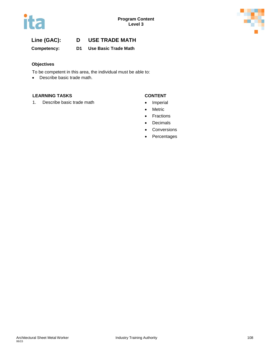

**Competency: D1 Use Basic Trade Math**

### **Objectives**

To be competent in this area, the individual must be able to:

• Describe basic trade math.

### **LEARNING TASKS CONTENT**

1. Describe basic trade math **•** Imperial

- 
- Metric
- Fractions
- Decimals
- Conversions
- Percentages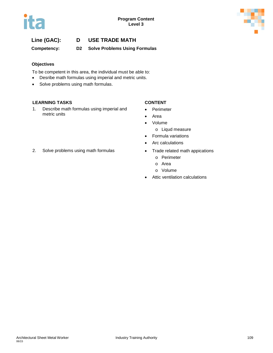

**Competency: D2 Solve Problems Using Formulas**

### **Objectives**

To be competent in this area, the individual must be able to:

- Desribe math formulas using imperial and metric units.
- Solve problems using math formulas.

### **LEARNING TASKS CONTENT**

1. Describe math formulas using imperial and metric units

- **Perimeter**
- Area
- Volume
	- o Liqud measure
- Formula variations
- Arc calculations
- - o Perimeter
	- o Area
	- o Volume
- Attic ventilation calculations
- 2. Solve problems using math formulas Trade related math appications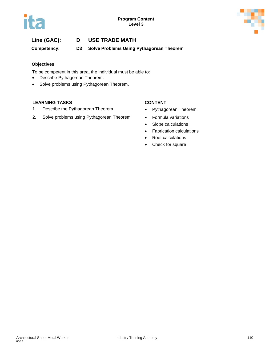

**Competency: D3 Solve Problems Using Pythagorean Theorem**

### **Objectives**

To be competent in this area, the individual must be able to:

- Describe Pythagorean Theorem.
- Solve problems using Pythagorean Theorem.

### **LEARNING TASKS CONTENT**

- 1. Describe the Pythagorean Theorem **•** Pythagorean Theorem
- 2. Solve problems using Pythagorean Theorem Formula variations

- 
- 
- Slope calculations
- Fabrication calculations
- Roof calculations
- Check for square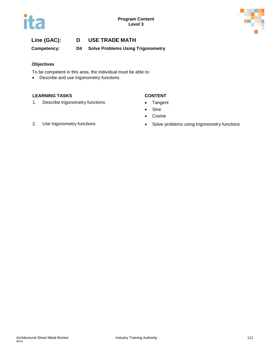



**Competency: D4 Solve Problems Using Trigonometry**

### **Objectives**

To be competent in this area, the individual must be able to:

• Describe and use trigonometry functions.

### **LEARNING TASKS CONTENT**

1. Describe trigonometry functions • Tangent

- 
- Sine
- Cosine

- 
- 2. Use trigonometry functions **•** Solve problems using trigonometry functions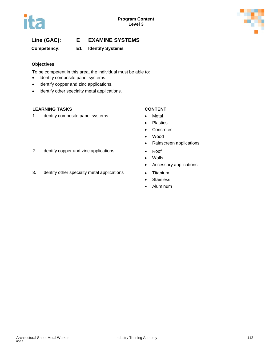

### **Competency: E1 Identify Systems**

### **Objectives**

To be competent in this area, the individual must be able to:

- Identify composite panel systems.
- Identify copper and zinc applications.
- Identify other specialty metal applications.

### **LEARNING TASKS CONTENT**

1. Identify composite panel systems • Metal

- 
- Plastics
- Concretes
- Wood
- Rainscreen applications
- 
- Walls
- Accessory applications
- 
- Stainless
- Aluminum
- 2. Identify copper and zinc applications Roof
- 3. Identify other specialty metal applications Titanium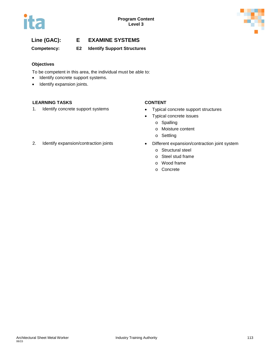

**Competency: E2 Identify Support Structures**

### **Objectives**

To be competent in this area, the individual must be able to:

- Identify concrete support systems.
- Identify expansion joints.

### **LEARNING TASKS CONTENT**

- 1. Identify concrete support systems Typical concrete support structures
	- Typical concrete issues
		- o Spalling
		- o Moisture content
		- o Settling
- 2. Identify expansion/contraction joints Different expansion/contraction joint system
	- o Structural steel
	- o Steel stud frame
	- o Wood frame
	- o Concrete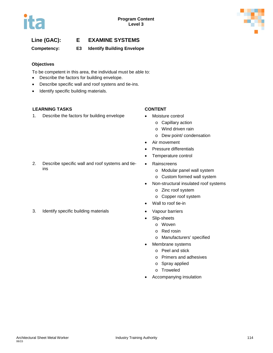

### **Competency: E3 Identify Building Envelope**

### **Objectives**

To be competent in this area, the individual must be able to:

- Describe the factors for building envelope.
- Describe specific wall and roof systens and tie-ins.
- Identify specific building materials.

### **LEARNING TASKS CONTENT**

1. Describe the factors for building envelope • Moisture control

- - o Capillary action
	- o Wind driven rain
	- o Dew point/ condensation
- Air movement
- Pressure differentials
- Temperature control
- Rainscreens
	- o Modular panel wall system
	- o Custom formed wall system
- Non-structural insulated roof systems
	- o Zinc roof system
	- o Copper roof system
- Wall to roof tie-in
- 3. Identify specific building materials **•** Vapour barriers
	- Slip-sheets
		- o Woven
		- o Red rosin
		- o Manufacturers' specified
	- Membrane systems
		- o Peel and stick
		- o Primers and adhesives
		- o Spray applied
		- o Troweled
	- Accompanying insulation

ins

2. Describe specific wall and roof systems and tie-

06/15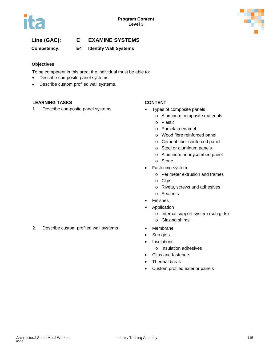

**Competency: E4 Identify Wall Systems**

### **Objectives**

To be competent in this area, the individual must be able to:

- Describe composite panel systems.
- Describe custom profiled wall systems.

### **LEARNING TASKS CONTENT**

1. Describe composite panel systems • Types of composite panels

- - o Aluminum composite materials
	- o Plastic
	- o Porcelain enamel
	- o Wood fibre reinforced panel
	- o Cement fiber reinforced panel
	- o Steel or aluminum panels
	- o Aluminum honeycombed panel
	- o Stone
- Fastening system
	- o Perimeter extrusion and frames
	- o Clips
	- o Rivets, screws and adhesives
	- o Sealants
- **Finishes**
- **Application** 
	- o Internal support system (sub girts)
	- o Glazing shims
- 
- Sub girts
- Insulations
	- o Insulation adhesives
- Clips and fasteners
- Thermal break
- Custom profiled exterior panels

2. Describe custom profiled wall systems • Membrane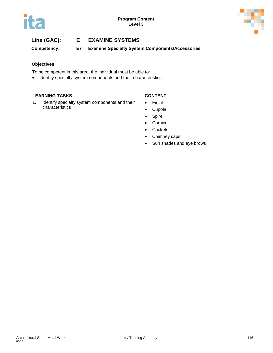

**Competency: E7 Examine Specialty System Components/Accessories**

### **Objectives**

To be competent in this area, the individual must be able to:

• Identify specialty system components and their characteristics.

### **LEARNING TASKS CONTENT**

- 1. Identify specialty system components and their characteristics
- Finial
- Cupola
- Spire
- Cornice
- Crickets
- Chimney caps
- Sun shades and eye brows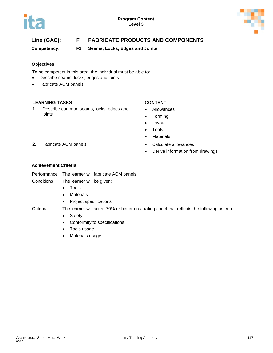



# **Line (GAC): F FABRICATE PRODUCTS AND COMPONENTS**

**Competency: F1 Seams, Locks, Edges and Joints**

### **Objectives**

To be competent in this area, the individual must be able to:

- Describe seams, locks, edges and joints.
- Fabricate ACM panels.

### **LEARNING TASKS CONTENT**

1. Describe common seams, locks, edges and joints

- Allowances
- Forming
- Layout
- Tools
- Materials
- 2. Fabricate ACM panels **•** Calculate allowances
	- Derive information from drawings

### **Achievement Criteria**

Performance The learner will fabricate ACM panels.

Conditions The learner will be given:

- Tools
- Materials
- Project specifications

- Safety
- Conformity to specifications
- Tools usage
- Materials usage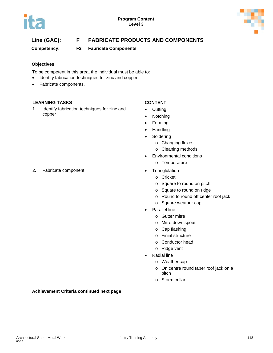

# **Line (GAC): F FABRICATE PRODUCTS AND COMPONENTS**

**Competency: F2 Fabricate Components** 

### **Objectives**

To be competent in this area, the individual must be able to:

- Identify fabrication techniques for zinc and copper.
- Fabricate components.

### **LEARNING TASKS CONTENT**

1. Identify fabrication techniques for zinc and copper

- Cutting
- Notching
- Forming
- Handling
- Soldering
	- o Changing fluxes
	- o Cleaning methods
- Environmental conditions
	- o Temperature
- 2. Fabricate component **•** Trianglulation
	- o Cricket
	- o Square to round on pitch
	- o Square to round on ridge
	- o Round to round off center roof jack
	- o Square weather cap
	- **Parallel line** 
		- o Gutter mitre
		- o Mitre down spout
		- o Cap flashing
		- o Finial structure
		- o Conductor head
		- o Ridge vent
	- Radial line
		- o Weather cap
		- o On centre round taper roof jack on a pitch
		- o Storm collar

### **Achievement Criteria continued next page**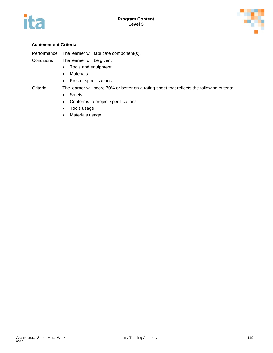



### **Achievement Criteria**

Performance The learner will fabricate component(s). Conditions The learner will be given:

- Tools and equipment
- Materials
- Project specifications

- Safety
- Conforms to project specifications
- Tools usage
- Materials usage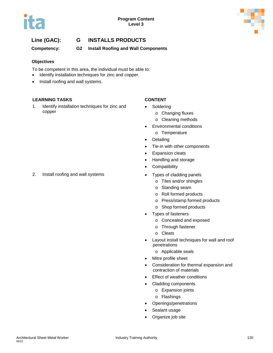

# **Line (GAC): G INSTALLS PRODUCTS**

**Competency: G2 Install Roofing and Wall Components**

### **Objectives**

To be competent in this area, the individual must be able to:

- Identify installation techniques for zinc and copper.
- Install roofing and wall systems.

### **LEARNING TASKS CONTENT**

1. Identify installation techniques for zinc and copper

- **Soldering** 
	- o Changing fluxes
	- o Cleaning methods
- Environmental conditions o Temperature
- Detailing
- Tie-in with other components
- Expansion cleats
- Handling and storage
- Compatibility
- - o Tiles and/or shingles
	- o Standing seam
	- o Roll formed products
	- o Press/stamp formed products
	- o Shop formed products
- Types of fasteners
	- o Concealed and exposed
	- o Through fastener
	- o Cleats
- Layout install techniques for wall and roof penetrations
	- o Applicable seals
- Mitre profile sheet
- Consideration for thermal expansion and contraction of materials
- **Effect of weather conditions**
- Cladding components
	- o Expansion joints
	- o Flashings
- Openings/penetrations
- Sealant usage
- Organize job site

2. Install roofing and wall systems **•** Types of cladding panels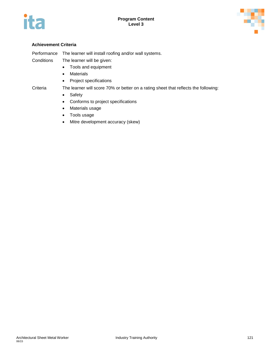



### **Achievement Criteria**

| Performance | The learner will install roofing and/or wall systems. |
|-------------|-------------------------------------------------------|
| Conditions  | The learner will be given:                            |

- Tools and equipment
- Materials
- Project specifications

- Safety
- Conforms to project specifications
- Materials usage
- Tools usage
- Mitre development accuracy (skew)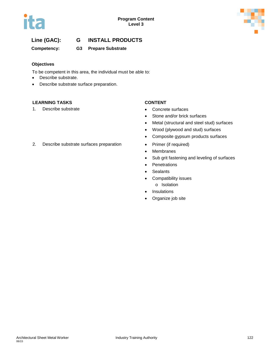

# **Line (GAC): G INSTALL PRODUCTS**

### **Competency: G3 Prepare Substrate**

### **Objectives**

To be competent in this area, the individual must be able to:

- Describe substrate.
- Describe substrate surface preparation.

### **LEARNING TASKS CONTENT**

1. Describe substrate **• Concrete surfaces** 

- 
- Stone and/or brick surfaces
- Metal (structural and steel stud) surfaces
- Wood (plywood and stud) surfaces
- Composite gypsum products surfaces
- 2. Describe substrate surfaces preparation Primer (if required)
	- Membranes
	- Sub grit fastening and leveling of surfaces
	- Penetrations
	- Sealants
	- Compatibility issues o Isolation
	- **Insulations**
	- Organize job site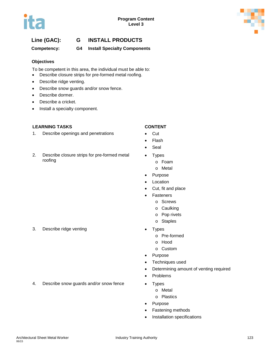

# **Line (GAC): G INSTALL PRODUCTS**

**Competency: G4 Install Specialty Components** 

### **Objectives**

To be competent in this area, the individual must be able to:

- Describe closure strips for pre-formed metal roofing.
- Describe ridge venting.
- Describe snow guards and/or snow fence.
- Describe dormer.
- Describe a cricket.
- Install a specialty component.

### **LEARNING TASKS CONTENT**

- 1. Describe openings and penetrations Cut
- 2. Describe closure strips for pre-formed metal roofing

- 
- Flash
- **Seal**
- **Types** 
	- o Foam
	- o Metal
- Purpose
- **Location**
- Cut, fit and place
- **Fasteners** 
	- o Screws
	- o Caulking
	- o Pop rivets
	- o Staples
- - o Pre-formed
	- o Hood
	- o Custom
- Purpose
- Techniques used
- Determining amount of venting required
- Problems
- 4. Describe snow guards and/or snow fence Types
	- o Metal
	- o Plastics
	- Purpose
	- Fastening methods
	- Installation specifications

3. Describe ridge venting example to the Second Second Contract of the Second Second Contract of the Second Second Second Second Second Second Second Second Second Second Second Second Second Second Second Second Second Se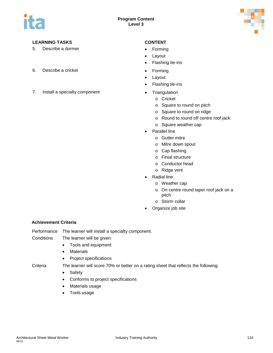

### **LEARNING TASKS CONTENT**

- 5. Describe a dormer **•** Forming
- 6. Describe a cricket **•** Forming
- 7. Install a specialty component **•** Triangulation

- 
- **Layout**
- Flashing tie-ins
- 
- Layout
- Flashing tie-ins
- - o Cricket
	- o Square to round on pitch
	- o Square to round on ridge
	- o Round to round off centre roof jack
	- o Square weather cap
- Parallel line
	- o Gutter mitre
	- o Mitre down spout
	- o Cap flashing
	- o Finial structure
	- o Conductor head
	- o Ridge vent
- Radial line
	- o Weather cap
	- o On centre round taper roof jack on a pitch
	- o Storm collar
- Organize job site

### **Achievement Criteria**

Performance The learner will install a specialty component.

- Conditions The learner will be given:
	- Tools and equipment
	- Materials
	- Project specifications

- Safety
- Conforms to project specifications
- Materials usage
- Tools usage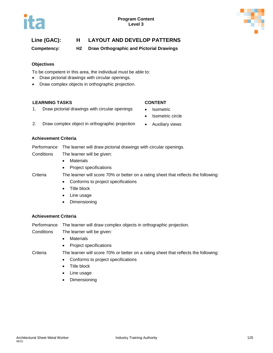

**Competency: H2 Draw Orthographic and Pictorial Drawings**

### **Objectives**

To be competent in this area, the individual must be able to:

- Draw pictorial drawings with circular openings.
- Draw complex objects in orthographic projection.

### **LEARNING TASKS CONTENT**

**Achievement Criteria**

1. Draw pictorial drawings with circular openings • Isometric

- 
- Isometric circle
- 2. Draw complex object in orthographic projection Auxiliary views
- 

# Performance The learner will draw pictorial drawings with circular openings.

- Conditions The learner will be given:
	- Materials
	- Project specifications

### Criteria The learner will score 70% or better on a rating sheet that reflects the following:

- Conforms to project specifications
- Title block
- Line usage
- Dimensioning

### **Achievement Criteria**

Performance The learner will draw complex objects in orthographic projection.

Conditions The learner will be given:

- Materials
- Project specifications

- Conforms to project specifications
- Title block
- Line usage
- Dimensioning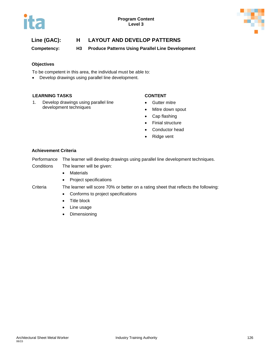



**Competency: H3 Produce Patterns Using Parallel Line Development**

### **Objectives**

To be competent in this area, the individual must be able to:

• Develop drawings using parallel line development.

### **LEARNING TASKS CONTENT**

1. Develop drawings using parallel line development techniques

- Gutter mitre
- Mitre down spout
- Cap flashing
- Finial structure
- Conductor head
- Ridge vent

### **Achievement Criteria**

Performance The learner will develop drawings using parallel line development techniques.

- Conditions The learner will be given:
	- Materials
	- Project specifications

- Conforms to project specifications
- Title block
- Line usage
- Dimensioning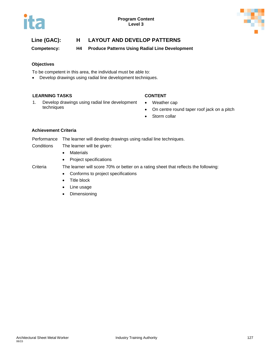

**Competency: H4 Produce Patterns Using Radial Line Development**

### **Objectives**

To be competent in this area, the individual must be able to:

• Develop drawings using radial line development techniques.

### **LEARNING TASKS CONTENT**

- 1. Develop drawings using radial line development techniques
- Weather cap
- On centre round taper roof jack on a pitch
- Storm collar

### **Achievement Criteria**

Performance The learner will develop drawings using radial line techniques.

- Conditions The learner will be given:
	- Materials
	- Project specifications

- Conforms to project specifications
- Title block
- Line usage
- Dimensioning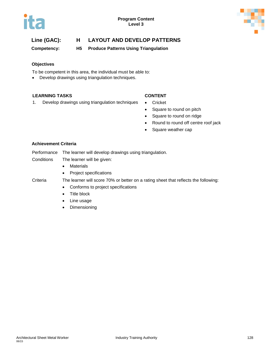



**Competency: H5 Produce Patterns Using Triangulation**

### **Objectives**

To be competent in this area, the individual must be able to:

• Develop drawings using triangulation techniques.

### **LEARNING TASKS CONTENT**

- 1. Develop drawings using triangulation techniques Cricket
	-
	- Square to round on pitch
	- Square to round on ridge
	- Round to round off centre roof jack
	- Square weather cap

### **Achievement Criteria**

Performance The learner will develop drawings using triangulation.

Conditions The learner will be given:

- Materials
- Project specifications

- Conforms to project specifications
- Title block
- Line usage
- Dimensioning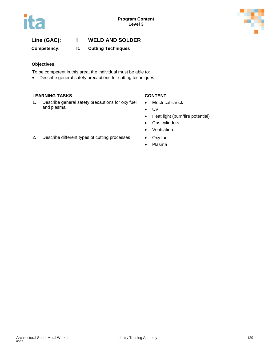

# **Line (GAC): I WELD AND SOLDER**

**Competency: I1 Cutting Techniques**

### **Objectives**

To be competent in this area, the individual must be able to:

• Describe general safety precautions for cutting techniques.

### **LEARNING TASKS CONTENT**

1. Describe general safety precautions for oxy fuel and plasma

- Electrical shock
- UV
- Heat light (burn/fire potential)
- Gas cylinders
- Ventilation
- 
- Plasma
- 2. Describe different types of cutting processes Oxy fuel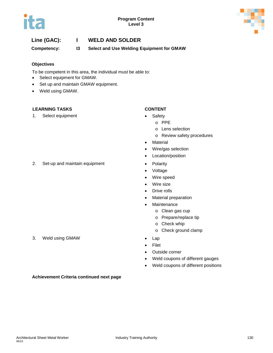

# **Line (GAC): I WELD AND SOLDER**

**Competency: I3 Select and Use Welding Equipment for GMAW**

### **Objectives**

To be competent in this area, the individual must be able to:

- Select equipment for GMAW.
- Set up and maintain GMAW equipment.
- Weld using GMAW.

### **LEARNING TASKS CONTENT**

1. Select equipment • Safety

- - o PPE
		- o Lens selection
		- o Review safety procedures
- **Material**
- Wire/gas selection
- Location/position
- 2. Set-up and maintain equipment Polarity
	- Voltage
	- Wire speed
	- Wire size
	- Drive rolls
	- Material preparation
	- **Maintenance** 
		- o Clean gas cup
		- o Prepare/replace tip
		- o Check whip
		- o Check ground clamp
	-
	- Filet
	- Outside corner
	- Weld coupons of different gauges
	- Weld coupons of different positions

### 3. Weld using GMAW • Lap

**Achievement Criteria continued next page**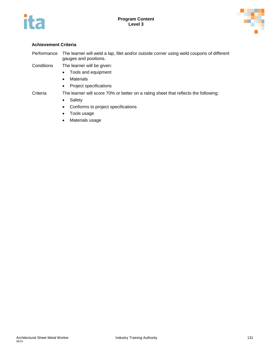



### **Achievement Criteria**

- Performance The learner will weld a lap, filet and/or outside corner using weld coupons of different gauges and positions.
- Conditions The learner will be given:
	- Tools and equipment
	- Materials
	- Project specifications

- Safety
- Conforms to project specifications
- Tools usage
- Materials usage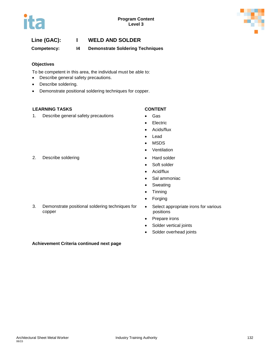

# **Line (GAC): I WELD AND SOLDER**

**Competency: I4 Demonstrate Soldering Techniques**

### **Objectives**

To be competent in this area, the individual must be able to:

- Describe general safety precautions.
- Describe soldering.
- Demonstrate positional soldering techniques for copper.

### **LEARNING TASKS CONTENT**

1. Describe general safety precautions • Gas

- 
- Electric
- Acids/flux
- Lead
- MSDS
- Ventilation
- 
- Soft solder
- Acid/flux
- Sal ammoniac
- Sweating
- Tinning
- **Forging**
- 3. Demonstrate positional soldering techniques for copper
- Select appropriate irons for various positions
- Prepare irons
- Solder vertical joints
- Solder overhead joints

### **Achievement Criteria continued next page**

### 2. Describe soldering example of the Hard solder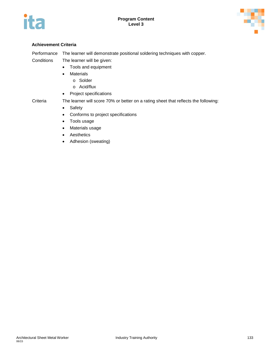



### **Achievement Criteria**

Performance The learner will demonstrate positional soldering techniques with copper. Conditions The learner will be given:

- Tools and equipment
- Materials
	- o Solder
	- o Acid/flux
- Project specifications

- Criteria The learner will score 70% or better on a rating sheet that reflects the following:
	- Safety
	- Conforms to project specifications
	- Tools usage
	- Materials usage
	- Aesthetics
	- Adhesion (sweating)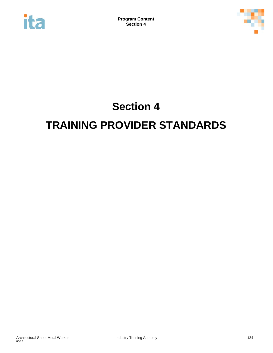



# **Section 4 TRAINING PROVIDER STANDARDS**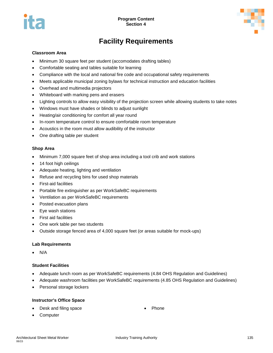



# **Facility Requirements**

### **Classroom Area**

- Minimum 30 square feet per student (accomodates drafting tables)
- Comfortable seating and tables suitable for learning
- Compliance with the local and national fire code and occupational safety requirements
- Meets applicable municipal zoning bylaws for technical instruction and education facilities
- Overhead and multimedia projectors
- Whiteboard with marking pens and erasers
- Lighting controls to allow easy visibility of the projection screen while allowing students to take notes
- Windows must have shades or blinds to adjust sunlight
- Heating/air conditioning for comfort all year round
- In-room temperature control to ensure comfortable room temperature
- Acoustics in the room must allow audibility of the instructor
- One drafting table per student

### **Shop Area**

- Minimum 7,000 square feet of shop area including a tool crib and work stations
- 14 foot high ceilings
- Adequate heating, lighting and ventilation
- Refuse and recycling bins for used shop materials
- First-aid facilities
- Portable fire extinguisher as per WorkSafeBC requirements
- Ventilation as per WorkSafeBC requirements
- Posted evacuation plans
- Eye wash stations
- First aid facilities
- One work table per two students
- Outside storage fenced area of 4,000 square feet (or areas suitable for mock-ups)

### **Lab Requirements**

• N/A

### **Student Facilities**

- Adequate lunch room as per WorkSafeBC requirements (4.84 OHS Regulation and Guidelines)
- Adequate washroom facilities per WorkSafeBC requirements (4.85 OHS Regulation and Guidelines)
- Personal storage lockers

### **Instructor's Office Space**

• Desk and filing space

**Phone** 

**Computer**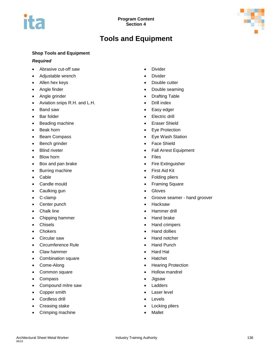

# **Tools and Equipment**

### **Shop Tools and Equipment**

### *Required*

- Abrasive cut-off saw
- Adjustable wrench
- Allen hex keys
- Angle finder
- Angle grinder
- Aviation snips R.H. and L.H.
- Band saw
- Bar folder
- Beading machine
- Beak horn
- Beam Compass
- Bench grinder
- Blind riveter
- Blow horn
- Box and pan brake
- Burring machine
- Cable
- Candle mould
- Caulking gun
- C-clamp
- Center punch
- Chalk line
- Chipping hammer
- Chisels
- Chokers
- Circular saw
- Circumference Rule
- Claw hammer
- Combination square
- Come-Along
- Common square
- Compass
- Compound mitre saw
- Copper smith
- Cordless drill
- Creasing stake
- Crimping machine
- Divider
- Divider
- Double cutter
- Double seaming
- Drafting Table
- Drill index
- Easy edger
- Electric drill
- Eraser Shield
- Eye Protection
- Eye Wash Station
- Face Shield
- Fall Arrest Equipment
- Files
- Fire Extinguisher
- First Aid Kit
- Folding pliers
- Framing Square
- Gloves
- Groove seamer hand groover
- Hacksaw
- Hammer drill
- Hand brake
- Hand crimpers
- Hand dollies
- Hand notcher
- Hand Punch
- Hard Hat
- Hatchet
- Hearing Protection
- Hollow mandrel
- Jigsaw
- Ladders
- Laser level
- **Levels**
- Locking pliers
- Mallet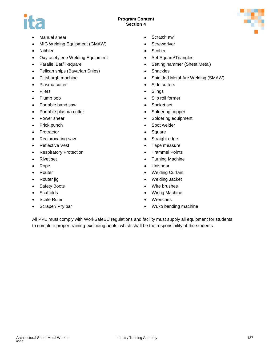### **Program Content Section 4**



- Manual shear
- MIG Welding Equipment (GMAW)
- Nibbler
- Oxy-acetylene Welding Equipment
- Parallel Bar/T-square
- Pelican snips (Bavarian Snips)
- Pittsburgh machine
- Plasma cutter
- Pliers
- Plumb bob
- Portable band saw
- Portable plasma cutter
- Power shear
- Prick punch
- Protractor
- Reciprocating saw
- Reflective Vest
- Respiratory Protection
- Rivet set
- Rope
- Router
- Router jig
- Safety Boots
- **Scaffolds**
- Scale Ruler
- Scraper/ Pry bar
- Scratch awl
- Screwdriver
- Scriber
- Set Square/Triangles
- Setting hammer (Sheet Metal)
- Shackles
- Shielded Metal Arc Welding (SMAW)
- Side cutters
- Slings
- Slip roll former
- Socket set
- Soldering copper
- Soldering equipment
- Spot welder
- Square
- Straight edge
- Tape measure
- Trammel Points
- Turning Machine
- Unishear
- Welding Curtain
- Welding Jacket
- Wire brushes
- Wiring Machine
- Wrenches
- Wuko bending machine

All PPE must comply with WorkSafeBC regulations and facility must supply all equipment for students to complete proper training excluding boots, which shall be the responsibility of the students.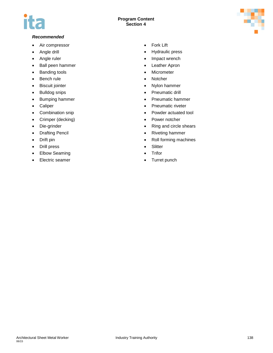# T IS

### **Program Content Section 4**



### *Recommended*

- Air compressor
- Angle drill
- Angle ruler
- Ball peen hammer
- Banding tools
- Bench rule
- Biscuit jointer
- Bulldog snips
- Bumping hammer
- Caliper
- Combination snip
- Crimper (decking)
- Die-grinder
- Drafting Pencil
- Drift pin
- Drill press
- Elbow Seaming
- Electric seamer
- Fork Lift
- Hydraulic press
- Impact wrench
- Leather Apron
- Micrometer
- Notcher
- Nylon hammer
- Pneumatic drill
- Pneumatic hammer
- Pneumatic riveter
- Powder actuated tool
- Power notcher
- Ring and circle shears
- Riveting hammer
- Roll forming machines
- Slitter
- Trifor
- Turret punch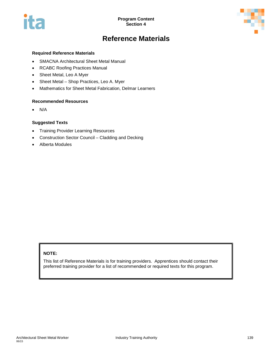

# **Reference Materials**

### **Required Reference Materials**

- SMACNA Architectural Sheet Metal Manual
- RCABC Roofing Practices Manual
- Sheet Metal, Leo A Myer
- Sheet Metal Shop Practices, Leo A. Myer
- Mathematics for Sheet Metal Fabrication, Delmar Learners

### **Recommended Resources**

• N/A

### **Suggested Texts**

- Training Provider Learning Resources
- Construction Sector Council Cladding and Decking
- Alberta Modules

### **NOTE:**

This list of Reference Materials is for training providers. Apprentices should contact their preferred training provider for a list of recommended or required texts for this program.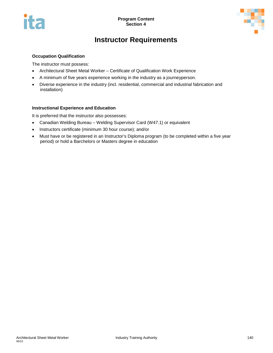

# **Instructor Requirements**

### **Occupation Qualification**

The instructor must possess:

- Architectural Sheet Metal Worker Certificate of Qualification Work Experience
- A minimum of five years experience working in the industry as a journeyperson.
- Diverse experience in the industry (incl. residential, commercial and industrial fabrication and installation)

### **Instructional Experience and Education**

It is preferred that the instructor also possesses:

- Canadian Welding Bureau Welding Supervisor Card (W47.1) or equivalent
- Instructors certificate (minimum 30 hour course); and/or
- Must have or be registered in an Instructor's Diploma program (to be completed within a five year period) or hold a Barchelors or Masters degree in education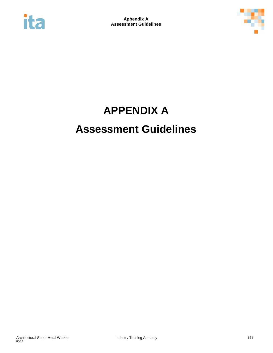



## **APPENDIX A Assessment Guidelines**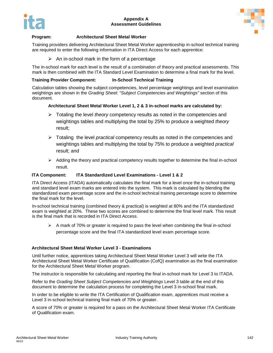

### **Appendix A Assessment Guidelines**



#### **Program: Architectural Sheet Metal Worker**

Training providers delivering Architectural Sheet Metal Worker apprenticeship in-school technical training are required to enter the following information in ITA Direct Access for each apprentice:

 $\triangleright$  An in-school mark in the form of a percentage

The in-school mark for each level is the result of a combination of theory and practical assessments. This mark is then combined with the ITA Standard Level Examination to determine a final mark for the level.

### **Training Provider Component: In-School Technical Training**

Calculation tables showing the subject competencies, level percentage weightings and level examination weightings are shown in the *Grading Sheet: "Subject Competencies and Weightings"* section of this document.

### **Architectural Sheet Metal Worker Level 1, 2 & 3 in-school marks are calculated by:**

- Totaling the level *theory* competency results as noted in the competencies and weightings tables and multiplying the total by 25% to produce a weighted *theory* result;
- Totaling the level *practical* competency results as noted in the competencies and weightings tables and multiplying the total by 75% to produce a weighted *practical* result; and
- $\triangleright$  Adding the theory and practical competency results together to determine the final in-school result.

### **ITA Component: ITA Standardized Level Examinations - Level 1 & 2**

ITA Direct Access (ITADA) automatically calculates the final mark for a level once the in-school training and standard level exam marks are entered into the system. This mark is calculated by blending the standardized exam percentage score and the in-school technical training percentage score to determine the final mark for the level.

In-school technical training (combined theory & practical) is weighted at 80% and the ITA standardized exam is weighted at 20%. These two scores are combined to determine the final level mark. This result is the final mark that is recorded in ITA Direct Access.

 $\triangleright$  A mark of 70% or greater is required to pass the level when combining the final in-school percentage score and the final ITA standardized level exam percentage score.

#### **Architectural Sheet Metal Worker Level 3 - Examinations**

Until further notice, apprentices taking Architectural Sheet Metal Worker Level 3 will write the ITA Architectural Sheet Metal Worker Certificate of Qualification (CofQ) examination as the final examination for the Architectural Sheet Metal Worker program.

The instructor is responsible for calculating and reporting the final in-school mark for Level 3 to ITADA.

Refer to the *Grading Sheet Subject Competencies and Weightings* Level 3 table at the end of this document to determine the calculation process for completing the Level 3 in-school final mark.

In order to be eligible to write the ITA Certification of Qualification exam, apprentices must receive a Level 3 in-school technical training final mark of 70% or greater.

A score of 70% or greater is required for a pass on the Architectural Sheet Metal Worker ITA Certificate of Qualification exam.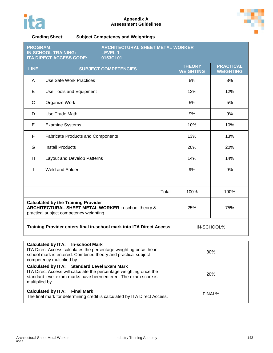



**Grading Sheet: Subject Competency and Weightings**

| <b>PROGRAM:</b><br><b>IN-SCHOOL TRAINING:</b><br><b>LEVEL 1</b><br><b>ITA DIRECT ACCESS CODE:</b><br>0153CL01                               |                                          | <b>ARCHITECTURAL SHEET METAL WORKER</b> |                                   |                                      |
|---------------------------------------------------------------------------------------------------------------------------------------------|------------------------------------------|-----------------------------------------|-----------------------------------|--------------------------------------|
| <b>LINE</b>                                                                                                                                 | <b>SUBJECT COMPETENCIES</b>              |                                         | <b>THEORY</b><br><b>WEIGHTING</b> | <b>PRACTICAL</b><br><b>WEIGHTING</b> |
| A                                                                                                                                           | Use Safe Work Practices                  |                                         | 8%                                | 8%                                   |
| B                                                                                                                                           | Use Tools and Equipment                  |                                         | 12%                               | 12%                                  |
| C                                                                                                                                           | Organize Work                            |                                         | 5%                                | 5%                                   |
| D                                                                                                                                           | Use Trade Math                           |                                         | 9%                                | 9%                                   |
| E                                                                                                                                           | <b>Examine Systems</b>                   |                                         | 10%                               | 10%                                  |
| F                                                                                                                                           | <b>Fabricate Products and Components</b> |                                         | 13%                               | 13%                                  |
| G                                                                                                                                           | <b>Install Products</b>                  |                                         | 20%                               | 20%                                  |
| H                                                                                                                                           | Layout and Develop Patterns              |                                         | 14%                               | 14%                                  |
| $\mathbf{I}$                                                                                                                                | Weld and Solder                          |                                         | 9%                                | 9%                                   |
|                                                                                                                                             |                                          |                                         |                                   |                                      |
|                                                                                                                                             |                                          | Total                                   | 100%                              | 100%                                 |
| <b>Calculated by the Training Provider</b><br>ARCHITECTURAL SHEET METAL WORKER in-school theory &<br>practical subject competency weighting |                                          | 25%                                     | 75%                               |                                      |
| Training Provider enters final in-school mark into ITA Direct Access                                                                        |                                          | IN-SCHOOL%                              |                                   |                                      |

| Calculated by ITA: In-school Mark<br>ITA Direct Access calculates the percentage weighting once the in-<br>school mark is entered. Combined theory and practical subject<br>competency multiplied by        | 80%        |
|-------------------------------------------------------------------------------------------------------------------------------------------------------------------------------------------------------------|------------|
| <b>Calculated by ITA: Standard Level Exam Mark</b><br>ITA Direct Access will calculate the percentage weighting once the<br>standard level exam marks have been entered. The exam score is<br>multiplied by | <b>20%</b> |
| <b>Calculated by ITA: Final Mark</b><br>The final mark for determining credit is calculated by ITA Direct Access.                                                                                           | FINAL%     |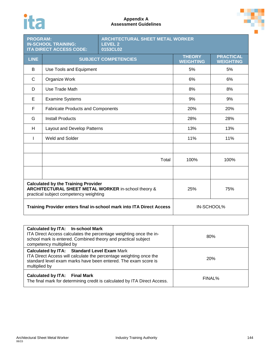# ita

### **Appendix A Assessment Guidelines**



| <b>ARCHITECTURAL SHEET METAL WORKER</b><br><b>PROGRAM:</b><br><b>IN-SCHOOL TRAINING:</b><br><b>LEVEL 2</b><br><b>ITA DIRECT ACCESS CODE:</b><br>0153CL02 |                                          |                             |                                   |                                      |
|----------------------------------------------------------------------------------------------------------------------------------------------------------|------------------------------------------|-----------------------------|-----------------------------------|--------------------------------------|
| <b>LINE</b>                                                                                                                                              |                                          | <b>SUBJECT COMPETENCIES</b> | <b>THEORY</b><br><b>WEIGHTING</b> | <b>PRACTICAL</b><br><b>WEIGHTING</b> |
| В                                                                                                                                                        | Use Tools and Equipment                  |                             | 5%                                | 5%                                   |
| C                                                                                                                                                        | Organize Work                            |                             | 6%                                | 6%                                   |
| D                                                                                                                                                        | Use Trade Math                           |                             | 8%                                | 8%                                   |
| E                                                                                                                                                        | <b>Examine Systems</b>                   |                             | 9%                                | 9%                                   |
| F                                                                                                                                                        | <b>Fabricate Products and Components</b> |                             | 20%                               | 20%                                  |
| G                                                                                                                                                        | <b>Install Products</b>                  |                             | 28%                               | 28%                                  |
| H                                                                                                                                                        | Layout and Develop Patterns              |                             | 13%                               | 13%                                  |
|                                                                                                                                                          | <b>Weld and Solder</b>                   |                             | 11%                               | 11%                                  |
|                                                                                                                                                          |                                          |                             |                                   |                                      |
|                                                                                                                                                          |                                          | Total                       | 100%                              | 100%                                 |
|                                                                                                                                                          |                                          |                             |                                   |                                      |
| <b>Calculated by the Training Provider</b><br>ARCHITECTURAL SHEET METAL WORKER in-school theory &<br>practical subject competency weighting              |                                          | 25%                         | 75%                               |                                      |
| Training Provider enters final in-school mark into ITA Direct Access                                                                                     |                                          | IN-SCHOOL%                  |                                   |                                      |

| <b>Calculated by ITA: In-school Mark</b><br>ITA Direct Access calculates the percentage weighting once the in-<br>school mark is entered. Combined theory and practical subject<br>competency multiplied by | 80%        |
|-------------------------------------------------------------------------------------------------------------------------------------------------------------------------------------------------------------|------------|
| <b>Calculated by ITA: Standard Level Exam Mark</b><br>ITA Direct Access will calculate the percentage weighting once the<br>standard level exam marks have been entered. The exam score is<br>multiplied by | <b>20%</b> |
| <b>Calculated by ITA: Final Mark</b><br>The final mark for determining credit is calculated by ITA Direct Access.                                                                                           | FINAL%     |